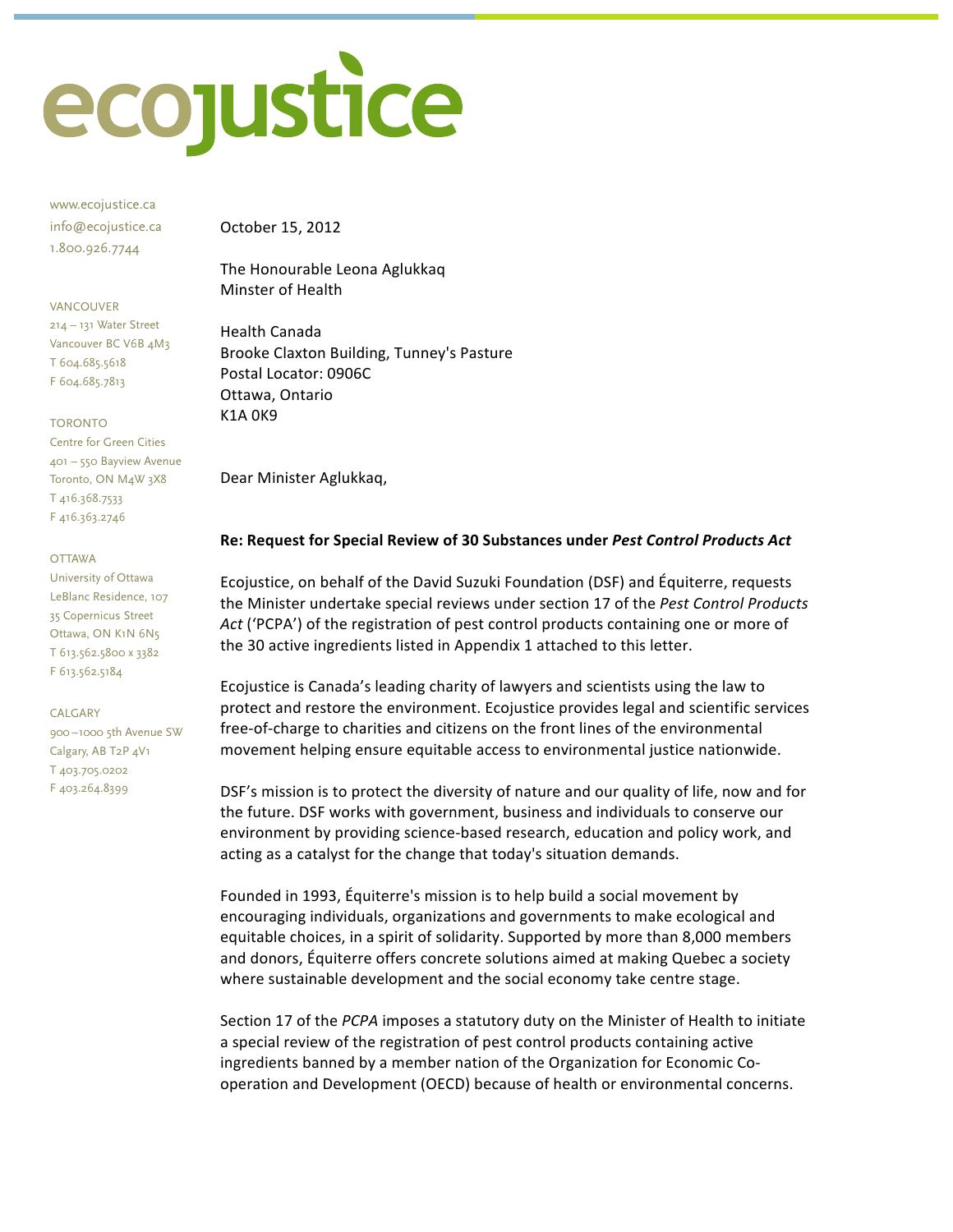

www.ecojustice.ca info@ecojustice.ca 1.800.926.7744

#### **VANCOLIVER**

214 - 131 Water Street Vancouver BC V6B 4M3 T 604.685.5618 F 604.685.7813

**TORONTO** 

Centre for Green Cities 401 - 550 Bayview Avenue Toronto, ON M4W 3X8 T<sub>416.368.7533</sub> F416.363.2746

**OTTAWA** 

University of Ottawa LeBlanc Residence, 107 35 Copernicus Street Ottawa, ON K1N 6N5 T 613.562.5800 x 3382 F 613.562.5184

#### CALGARY

900-1000 5th Avenue SW Calgary, AB T2P 4V1 T403.705.0202 F403.264.8399

October 15, 2012

The Honourable Leona Aglukkaq Minster of Health

**Health Canada** Brooke Claxton Building, Tunney's Pasture Postal Locator: 0906C Ottawa, Ontario **K1A0K9** 

Dear Minister Aglukkaq,

#### Re: Request for Special Review of 30 Substances under Pest Control Products Act

Ecojustice, on behalf of the David Suzuki Foundation (DSF) and Équiterre, requests the Minister undertake special reviews under section 17 of the Pest Control Products Act ('PCPA') of the registration of pest control products containing one or more of the 30 active ingredients listed in Appendix 1 attached to this letter.

Ecojustice is Canada's leading charity of lawyers and scientists using the law to protect and restore the environment. Ecojustice provides legal and scientific services free-of-charge to charities and citizens on the front lines of the environmental movement helping ensure equitable access to environmental justice nationwide.

DSF's mission is to protect the diversity of nature and our quality of life, now and for the future. DSF works with government, business and individuals to conserve our environment by providing science-based research, education and policy work, and acting as a catalyst for the change that today's situation demands.

Founded in 1993, Équiterre's mission is to help build a social movement by encouraging individuals, organizations and governments to make ecological and equitable choices, in a spirit of solidarity. Supported by more than 8,000 members and donors, Équiterre offers concrete solutions aimed at making Quebec a society where sustainable development and the social economy take centre stage.

Section 17 of the PCPA imposes a statutory duty on the Minister of Health to initiate a special review of the registration of pest control products containing active ingredients banned by a member nation of the Organization for Economic Cooperation and Development (OECD) because of health or environmental concerns.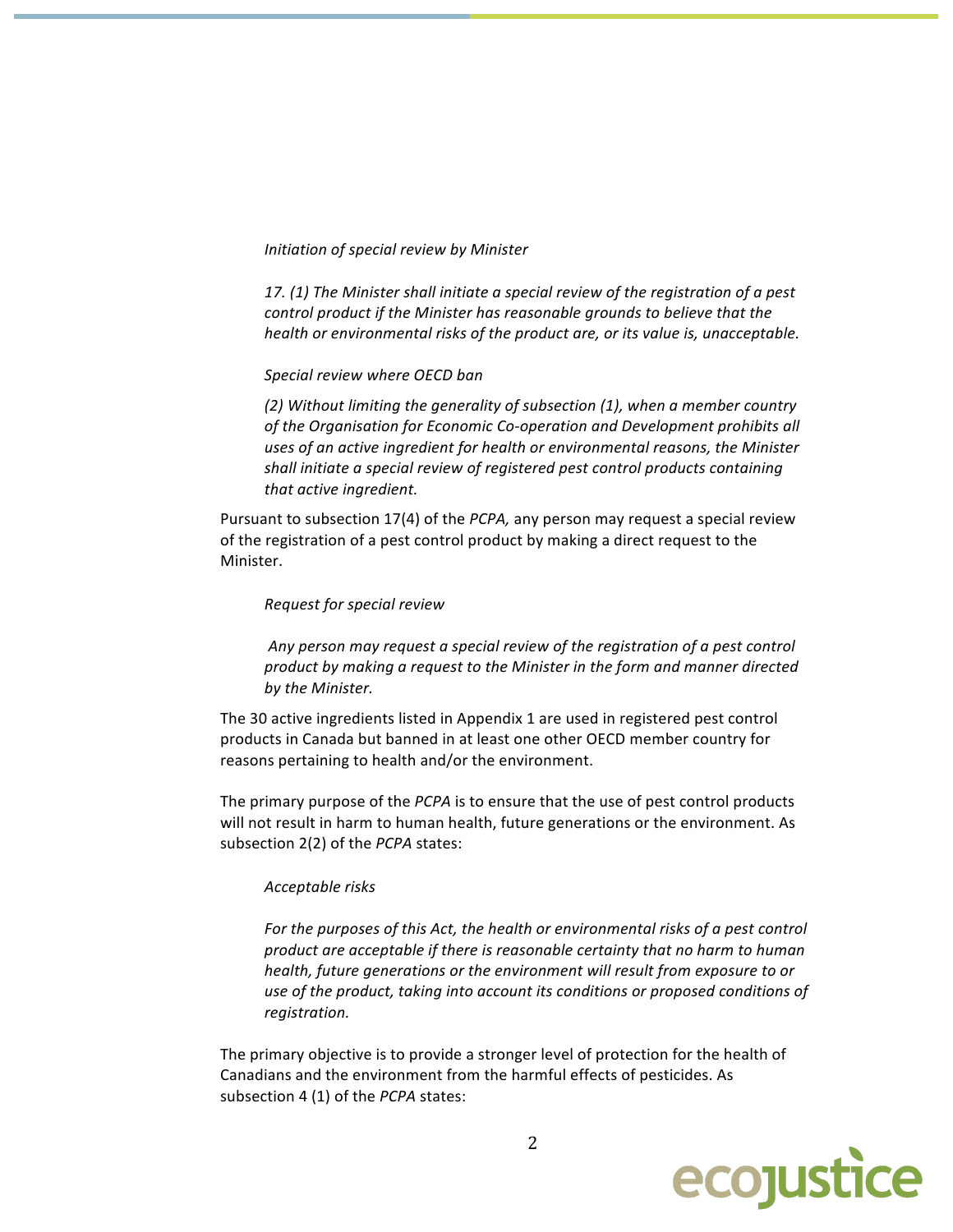Initiation of special review by Minister

17. (1) The Minister shall initiate a special review of the registration of a pest control product if the Minister has reasonable grounds to believe that the health or environmental risks of the product are, or its value is, unacceptable.

Special review where OECD ban

(2) Without limiting the generality of subsection (1), when a member country of the Organisation for Economic Co-operation and Development prohibits all uses of an active ingredient for health or environmental reasons, the Minister shall initiate a special review of registered pest control products containing that active ingredient.

Pursuant to subsection 17(4) of the PCPA, any person may request a special review of the registration of a pest control product by making a direct request to the Minister.

#### Request for special review

Any person may request a special review of the registration of a pest control product by making a request to the Minister in the form and manner directed by the Minister.

The 30 active ingredients listed in Appendix 1 are used in registered pest control products in Canada but banned in at least one other OECD member country for reasons pertaining to health and/or the environment.

The primary purpose of the PCPA is to ensure that the use of pest control products will not result in harm to human health, future generations or the environment. As subsection 2(2) of the PCPA states:

#### Acceptable risks

For the purposes of this Act, the health or environmental risks of a pest control product are acceptable if there is reasonable certainty that no harm to human health, future generations or the environment will result from exposure to or use of the product, taking into account its conditions or proposed conditions of registration.

The primary objective is to provide a stronger level of protection for the health of Canadians and the environment from the harmful effects of pesticides. As subsection 4 (1) of the PCPA states:

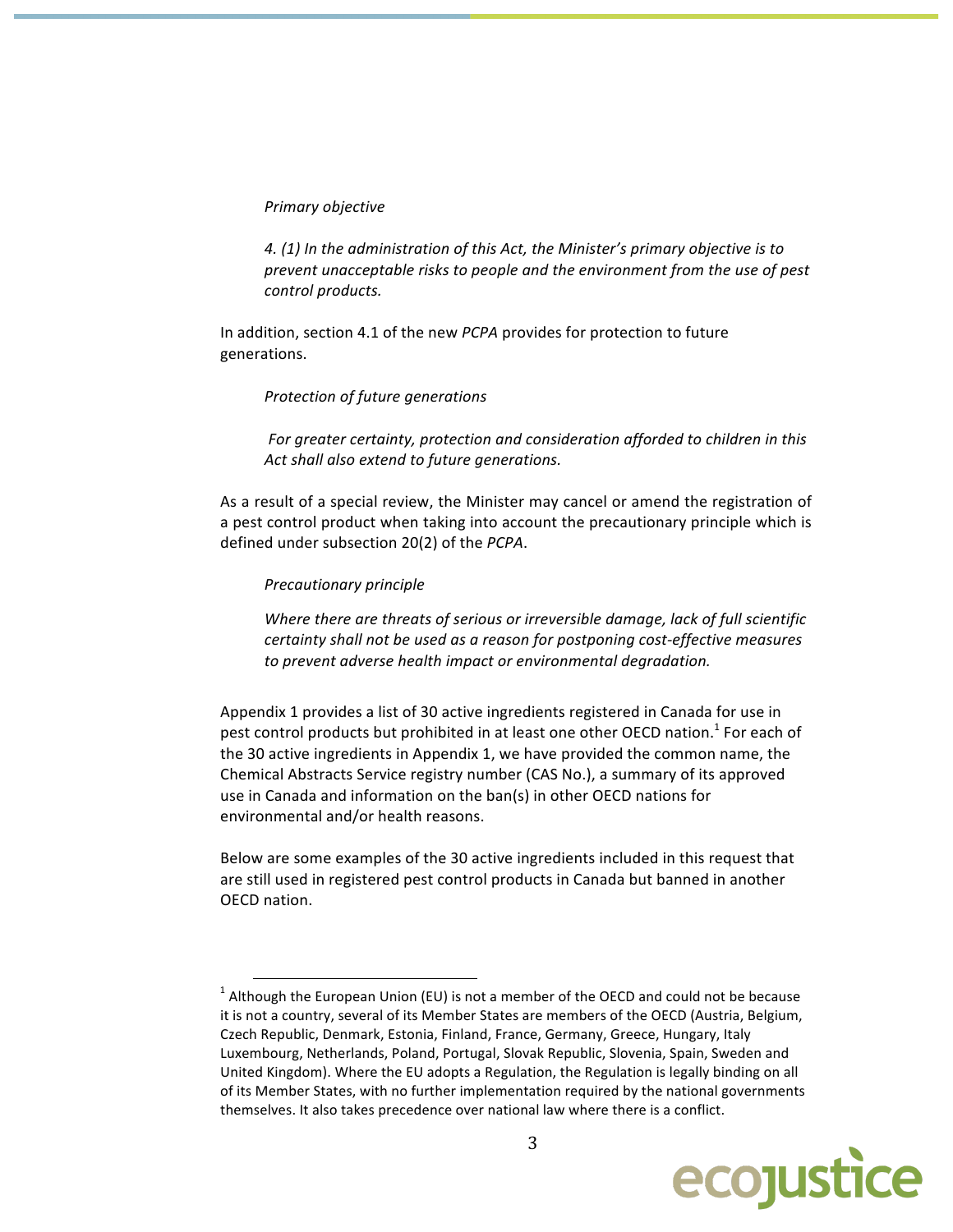#### Primary objective

4. (1) In the administration of this Act, the Minister's primary objective is to prevent unacceptable risks to people and the environment from the use of pest control products.

In addition, section 4.1 of the new PCPA provides for protection to future generations.

#### Protection of future generations

For greater certainty, protection and consideration afforded to children in this Act shall also extend to future generations.

As a result of a special review, the Minister may cancel or amend the registration of a pest control product when taking into account the precautionary principle which is defined under subsection 20(2) of the PCPA.

#### Precautionary principle

Where there are threats of serious or irreversible damage, lack of full scientific certainty shall not be used as a reason for postponing cost-effective measures to prevent adverse health impact or environmental degradation.

Appendix 1 provides a list of 30 active ingredients registered in Canada for use in pest control products but prohibited in at least one other OECD nation.<sup>1</sup> For each of the 30 active ingredients in Appendix 1, we have provided the common name, the Chemical Abstracts Service registry number (CAS No.), a summary of its approved use in Canada and information on the ban(s) in other OECD nations for environmental and/or health reasons.

Below are some examples of the 30 active ingredients included in this request that are still used in registered pest control products in Canada but banned in another OECD nation.

 $1$  Although the European Union (EU) is not a member of the OECD and could not be because it is not a country, several of its Member States are members of the OECD (Austria, Belgium, Czech Republic, Denmark, Estonia, Finland, France, Germany, Greece, Hungary, Italy Luxembourg, Netherlands, Poland, Portugal, Slovak Republic, Slovenia, Spain, Sweden and United Kingdom). Where the EU adopts a Regulation, the Regulation is legally binding on all of its Member States, with no further implementation required by the national governments themselves. It also takes precedence over national law where there is a conflict.

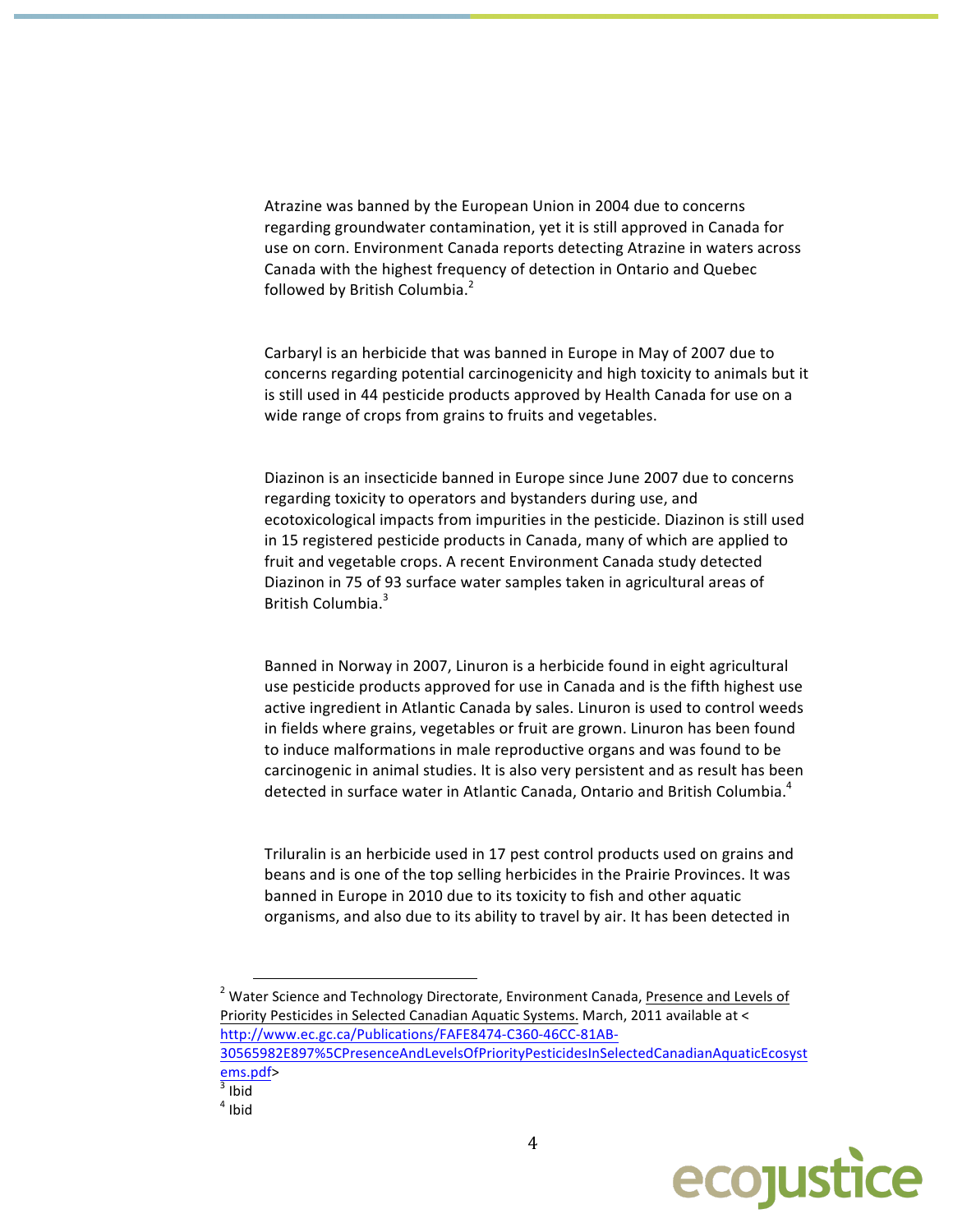Atrazine was banned by the European Union in 2004 due to concerns regarding groundwater contamination, yet it is still approved in Canada for use on corn. Environment Canada reports detecting Atrazine in waters across Canada with the highest frequency of detection in Ontario and Quebec followed by British Columbia.<sup>2</sup>

Carbaryl is an herbicide that was banned in Europe in May of 2007 due to concerns regarding potential carcinogenicity and high toxicity to animals but it is still used in 44 pesticide products approved by Health Canada for use on a wide range of crops from grains to fruits and vegetables.

Diazinon is an insecticide banned in Europe since June 2007 due to concerns regarding toxicity to operators and bystanders during use, and ecotoxicological impacts from impurities in the pesticide. Diazinon is still used in 15 registered pesticide products in Canada, many of which are applied to fruit and vegetable crops. A recent Environment Canada study detected Diazinon in 75 of 93 surface water samples taken in agricultural areas of British Columbia.<sup>3</sup>

Banned in Norway in 2007, Linuron is a herbicide found in eight agricultural use pesticide products approved for use in Canada and is the fifth highest use active ingredient in Atlantic Canada by sales. Linuron is used to control weeds in fields where grains, vegetables or fruit are grown. Linuron has been found to induce malformations in male reproductive organs and was found to be carcinogenic in animal studies. It is also very persistent and as result has been detected in surface water in Atlantic Canada, Ontario and British Columbia.<sup>4</sup>

Triluralin is an herbicide used in 17 pest control products used on grains and beans and is one of the top selling herbicides in the Prairie Provinces. It was banned in Europe in 2010 due to its toxicity to fish and other aquatic organisms, and also due to its ability to travel by air. It has been detected in

<sup>2</sup> Water Science and Technology Directorate, Environment Canada, Presence and Levels of Priority Pesticides in Selected Canadian Aquatic Systems. March, 2011 available at < http://www.ec.gc.ca/Publications/FAFE8474-C360-46CC-81AB-30565982E897%5CPresenceAndLevelsOfPriorityPesticidesInSelectedCanadianAquaticEcosyst



ems.pdf>  $3$  Ibid

 $4$  Ibid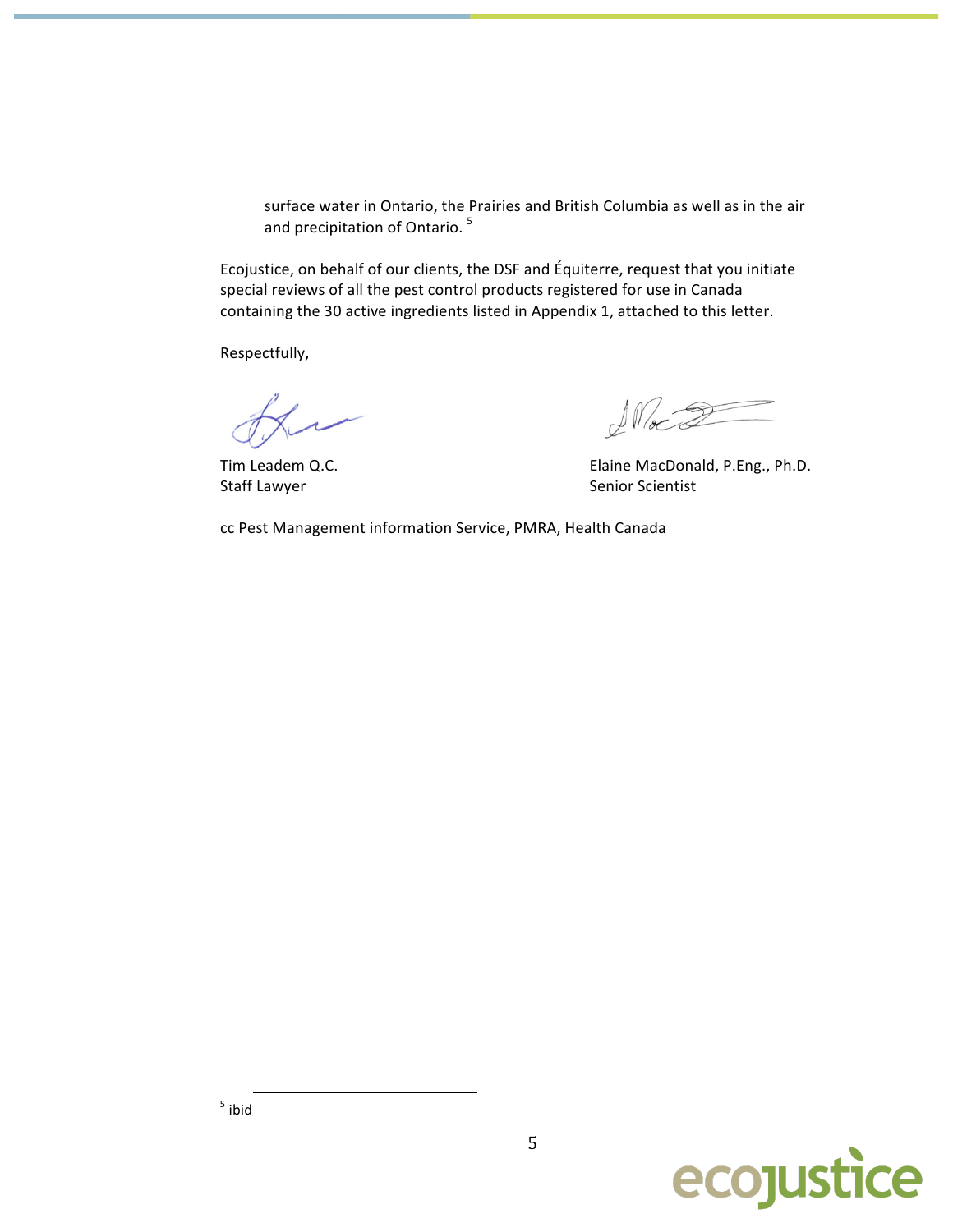surface water in Ontario, the Prairies and British Columbia as well as in the air and precipitation of Ontario.<sup>5</sup>

Ecojustice, on behalf of our clients, the DSF and Équiterre, request that you initiate special reviews of all the pest control products registered for use in Canada containing the 30 active ingredients listed in Appendix 1, attached to this letter.

Respectfully,

Tim Leadem Q.C. Staff Lawyer

 $\sqrt{M_{\infty}2}$ 

Elaine MacDonald, P.Eng., Ph.D. Senior Scientist

cc Pest Management information Service, PMRA, Health Canada





5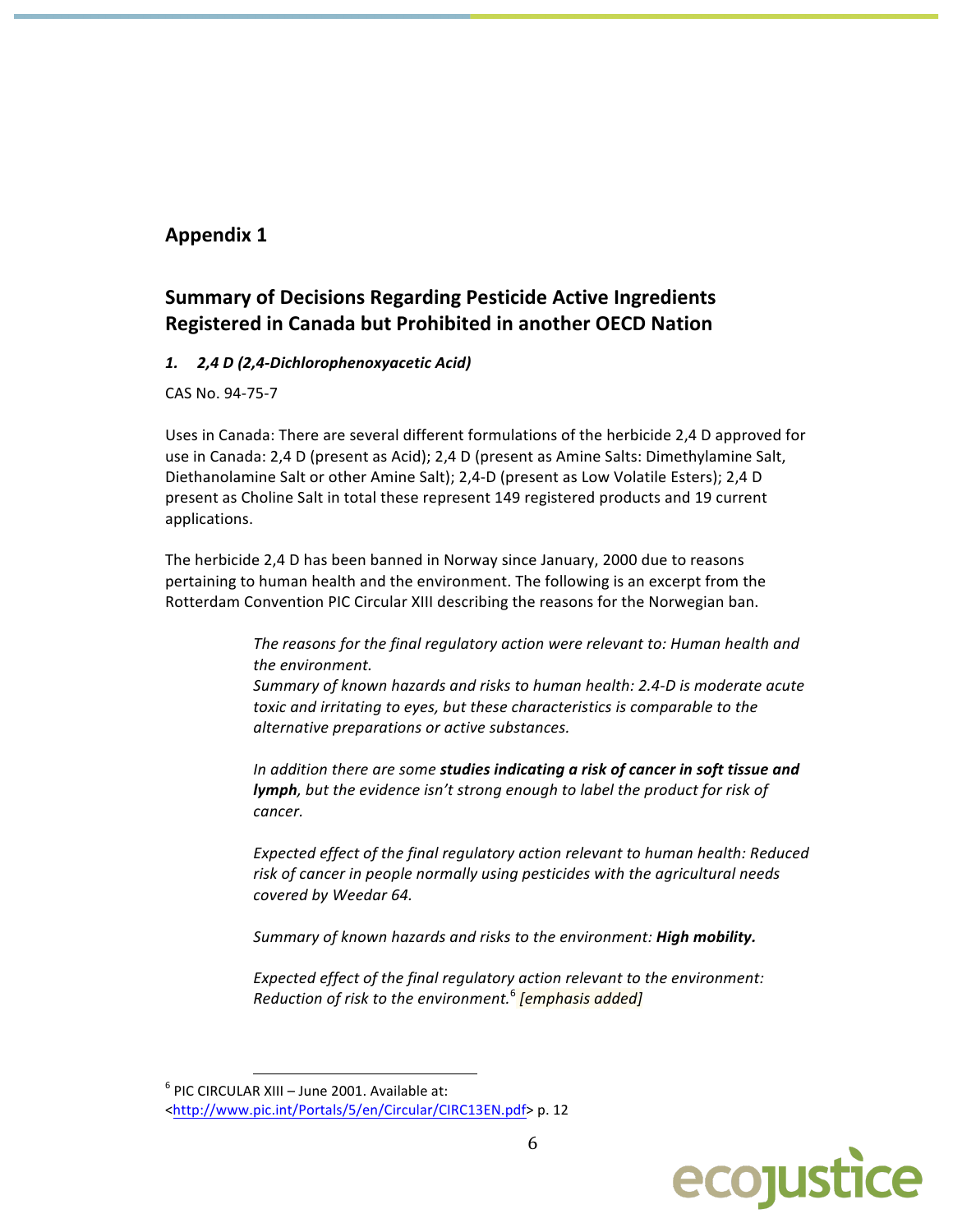# **Appendix 1**

# **Summary of Decisions Regarding Pesticide Active Ingredients** Registered in Canada but Prohibited in another OECD Nation

## 1. 2,4 D (2,4-Dichlorophenoxyacetic Acid)

CAS No. 94-75-7

Uses in Canada: There are several different formulations of the herbicide 2,4 D approved for use in Canada: 2,4 D (present as Acid); 2,4 D (present as Amine Salts: Dimethylamine Salt, Diethanolamine Salt or other Amine Salt); 2,4-D (present as Low Volatile Esters); 2,4 D present as Choline Salt in total these represent 149 registered products and 19 current applications.

The herbicide 2,4 D has been banned in Norway since January, 2000 due to reasons pertaining to human health and the environment. The following is an excerpt from the Rotterdam Convention PIC Circular XIII describing the reasons for the Norwegian ban.

> The reasons for the final regulatory action were relevant to: Human health and the environment. Summary of known hazards and risks to human health: 2.4-D is moderate acute toxic and irritating to eyes, but these characteristics is comparable to the alternative preparations or active substances.

> In addition there are some studies indicating a risk of cancer in soft tissue and lymph, but the evidence isn't strong enough to label the product for risk of cancer.

Expected effect of the final regulatory action relevant to human health: Reduced risk of cancer in people normally using pesticides with the agricultural needs covered by Weedar 64.

Summary of known hazards and risks to the environment: High mobility.

Expected effect of the final regulatory action relevant to the environment: Reduction of risk to the environment.<sup>6</sup> [emphasis added]



 $6$  PIC CIRCULAR XIII - June 2001. Available at:

<sup>&</sup>lt;http://www.pic.int/Portals/5/en/Circular/CIRC13EN.pdf> p. 12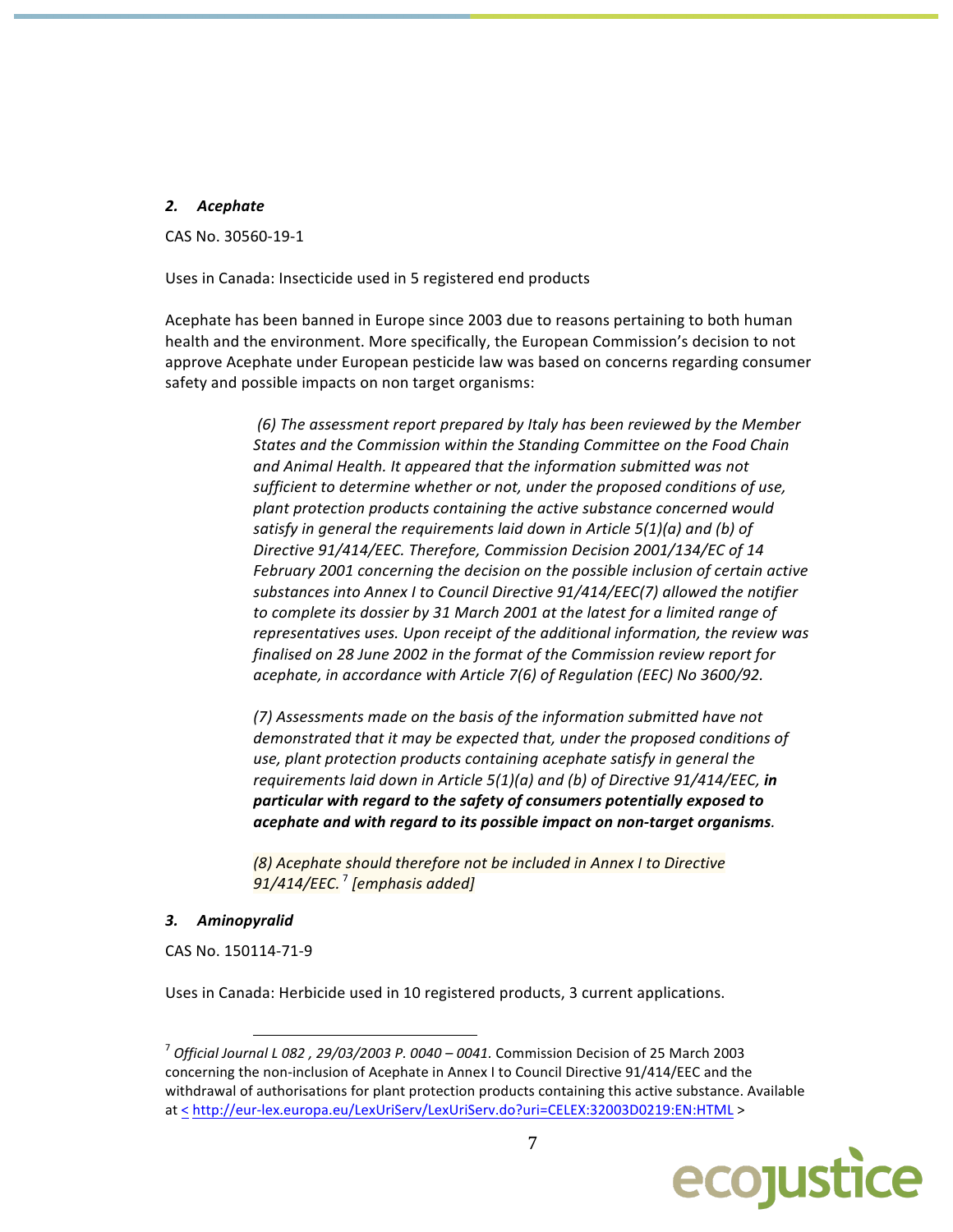## 2. Acephate

CAS No. 30560-19-1

Uses in Canada: Insecticide used in 5 registered end products

Acephate has been banned in Europe since 2003 due to reasons pertaining to both human health and the environment. More specifically, the European Commission's decision to not approve Acephate under European pesticide law was based on concerns regarding consumer safety and possible impacts on non target organisms:

> (6) The assessment report prepared by Italy has been reviewed by the Member States and the Commission within the Standing Committee on the Food Chain and Animal Health. It appeared that the information submitted was not sufficient to determine whether or not, under the proposed conditions of use, plant protection products containing the active substance concerned would satisfy in general the requirements laid down in Article  $5(1)(a)$  and (b) of Directive 91/414/EEC. Therefore, Commission Decision 2001/134/EC of 14 February 2001 concerning the decision on the possible inclusion of certain active substances into Annex I to Council Directive 91/414/EEC(7) allowed the notifier to complete its dossier by 31 March 2001 at the latest for a limited range of representatives uses. Upon receipt of the additional information, the review was finalised on 28 June 2002 in the format of the Commission review report for acephate, in accordance with Article 7(6) of Regulation (EEC) No 3600/92.

(7) Assessments made on the basis of the information submitted have not demonstrated that it may be expected that, under the proposed conditions of use, plant protection products containing acephate satisfy in general the requirements laid down in Article  $5(1)(a)$  and (b) of Directive  $91/414/EEC$ , in particular with regard to the safety of consumers potentially exposed to acephate and with regard to its possible impact on non-target organisms.

(8) Acephate should therefore not be included in Annex I to Directive 91/414/EEC.<sup>7</sup> [emphasis added]

## 3. Aminopyralid

CAS No. 150114-71-9

Uses in Canada: Herbicide used in 10 registered products, 3 current applications.

 $^7$  Official Journal L 082, 29/03/2003 P. 0040 - 0041. Commission Decision of 25 March 2003 concerning the non-inclusion of Acephate in Annex I to Council Directive 91/414/EEC and the withdrawal of authorisations for plant protection products containing this active substance. Available at < http://eur-lex.europa.eu/LexUriServ/LexUriServ.do?uri=CELEX:32003D0219:EN:HTML >

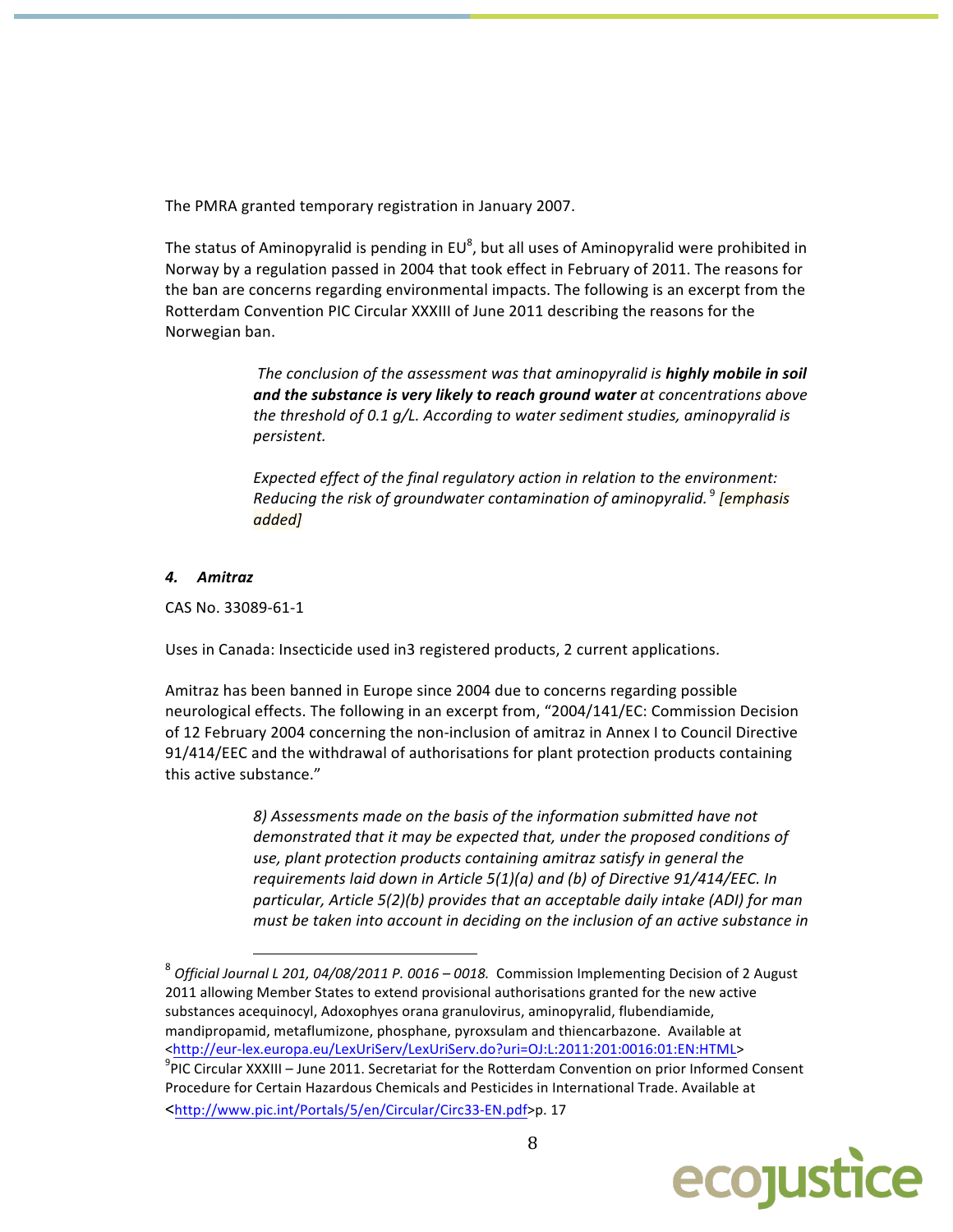The PMRA granted temporary registration in January 2007.

The status of Aminopyralid is pending in  $EU^8$ , but all uses of Aminopyralid were prohibited in Norway by a regulation passed in 2004 that took effect in February of 2011. The reasons for the ban are concerns regarding environmental impacts. The following is an excerpt from the Rotterdam Convention PIC Circular XXXIII of June 2011 describing the reasons for the Norwegian ban.

> The conclusion of the assessment was that aminopyralid is highly mobile in soil and the substance is very likely to reach ground water at concentrations above the threshold of 0.1 g/L. According to water sediment studies, aminopyralid is persistent.

Expected effect of the final regulatory action in relation to the environment: Reducing the risk of groundwater contamination of aminopyralid.<sup>9</sup> [emphasis] added]

## 4. Amitraz

CAS No. 33089-61-1

Uses in Canada: Insecticide used in3 registered products, 2 current applications.

Amitraz has been banned in Europe since 2004 due to concerns regarding possible neurological effects. The following in an excerpt from, "2004/141/EC: Commission Decision of 12 February 2004 concerning the non-inclusion of amitraz in Annex I to Council Directive 91/414/EEC and the withdrawal of authorisations for plant protection products containing this active substance."

> 8) Assessments made on the basis of the information submitted have not demonstrated that it may be expected that, under the proposed conditions of use, plant protection products containing amitraz satisfy in general the requirements laid down in Article  $5(1)(a)$  and (b) of Directive  $91/414/EEC$ . In particular, Article 5(2)(b) provides that an acceptable daily intake (ADI) for man must be taken into account in deciding on the inclusion of an active substance in

 $^8$  Official Journal L 201, 04/08/2011 P. 0016 - 0018. Commission Implementing Decision of 2 August 2011 allowing Member States to extend provisional authorisations granted for the new active substances acequinocyl, Adoxophyes orana granulovirus, aminopyralid, flubendiamide, mandipropamid, metaflumizone, phosphane, pyroxsulam and thiencarbazone. Available at <http://eur-lex.europa.eu/LexUriServ/LexUriServ.do?uri=OJ:L:2011:201:0016:01:EN:HTML>  $\textsuperscript{9}$ PIC Circular XXXIII – June 2011. Secretariat for the Rotterdam Convention on prior Informed Consent Procedure for Certain Hazardous Chemicals and Pesticides in International Trade. Available at <http://www.pic.int/Portals/5/en/Circular/Circ33-EN.pdf>p. 17

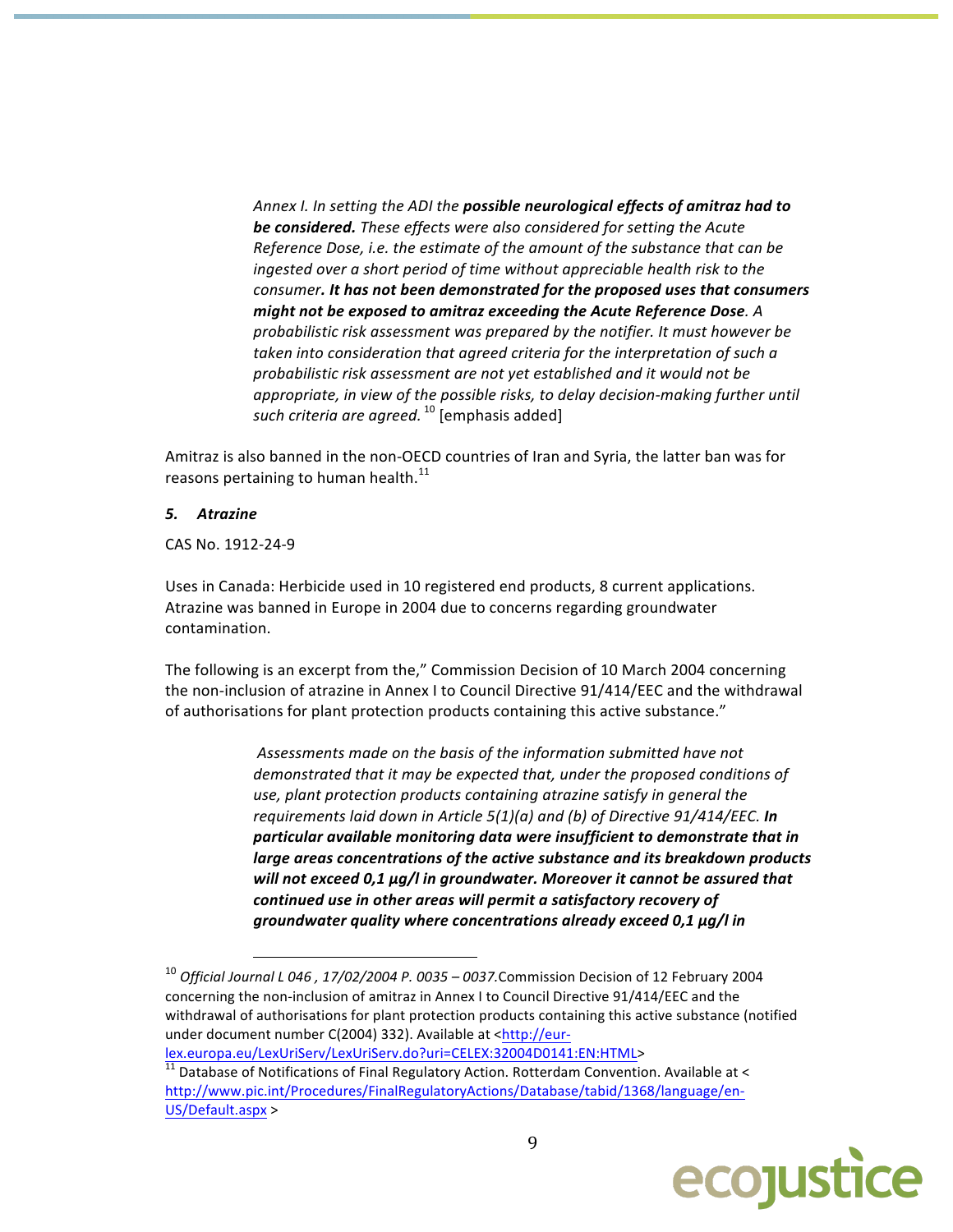Annex I. In setting the ADI the possible neurological effects of amitraz had to be considered. These effects were also considered for setting the Acute Reference Dose, i.e. the estimate of the amount of the substance that can be ingested over a short period of time without appreciable health risk to the consumer. It has not been demonstrated for the proposed uses that consumers might not be exposed to amitraz exceeding the Acute Reference Dose. A probabilistic risk assessment was prepared by the notifier. It must however be taken into consideration that agreed criteria for the interpretation of such a probabilistic risk assessment are not yet established and it would not be appropriate, in view of the possible risks, to delay decision-making further until such criteria are agreed.<sup>10</sup> [emphasis added]

Amitraz is also banned in the non-OECD countries of Iran and Syria, the latter ban was for reasons pertaining to human health.<sup>11</sup>

#### 5. Atrazine

CAS No. 1912-24-9

Uses in Canada: Herbicide used in 10 registered end products, 8 current applications. Atrazine was banned in Europe in 2004 due to concerns regarding groundwater contamination.

The following is an excerpt from the," Commission Decision of 10 March 2004 concerning the non-inclusion of atrazine in Annex I to Council Directive 91/414/EEC and the withdrawal of authorisations for plant protection products containing this active substance."

> Assessments made on the basis of the information submitted have not demonstrated that it may be expected that, under the proposed conditions of use, plant protection products containing atrazine satisfy in general the requirements laid down in Article  $5(1)(a)$  and (b) of Directive  $91/414/EEC$ . In particular available monitoring data were insufficient to demonstrate that in large areas concentrations of the active substance and its breakdown products will not exceed 0,1 µg/l in groundwater. Moreover it cannot be assured that continued use in other areas will permit a satisfactory recovery of groundwater quality where concentrations already exceed 0,1 µg/l in

 $\frac{1}{11}$  Database of Notifications of Final Regulatory Action. Rotterdam Convention. Available at < http://www.pic.int/Procedures/FinalRegulatoryActions/Database/tabid/1368/language/en-US/Default.aspx >



 $^{10}$  Official Journal L 046, 17/02/2004 P. 0035 - 0037. Commission Decision of 12 February 2004 concerning the non-inclusion of amitraz in Annex I to Council Directive 91/414/EEC and the withdrawal of authorisations for plant protection products containing this active substance (notified under document number C(2004) 332). Available at <http://eurlex.europa.eu/LexUriServ/LexUriServ.do?uri=CELEX:32004D0141:EN:HTML>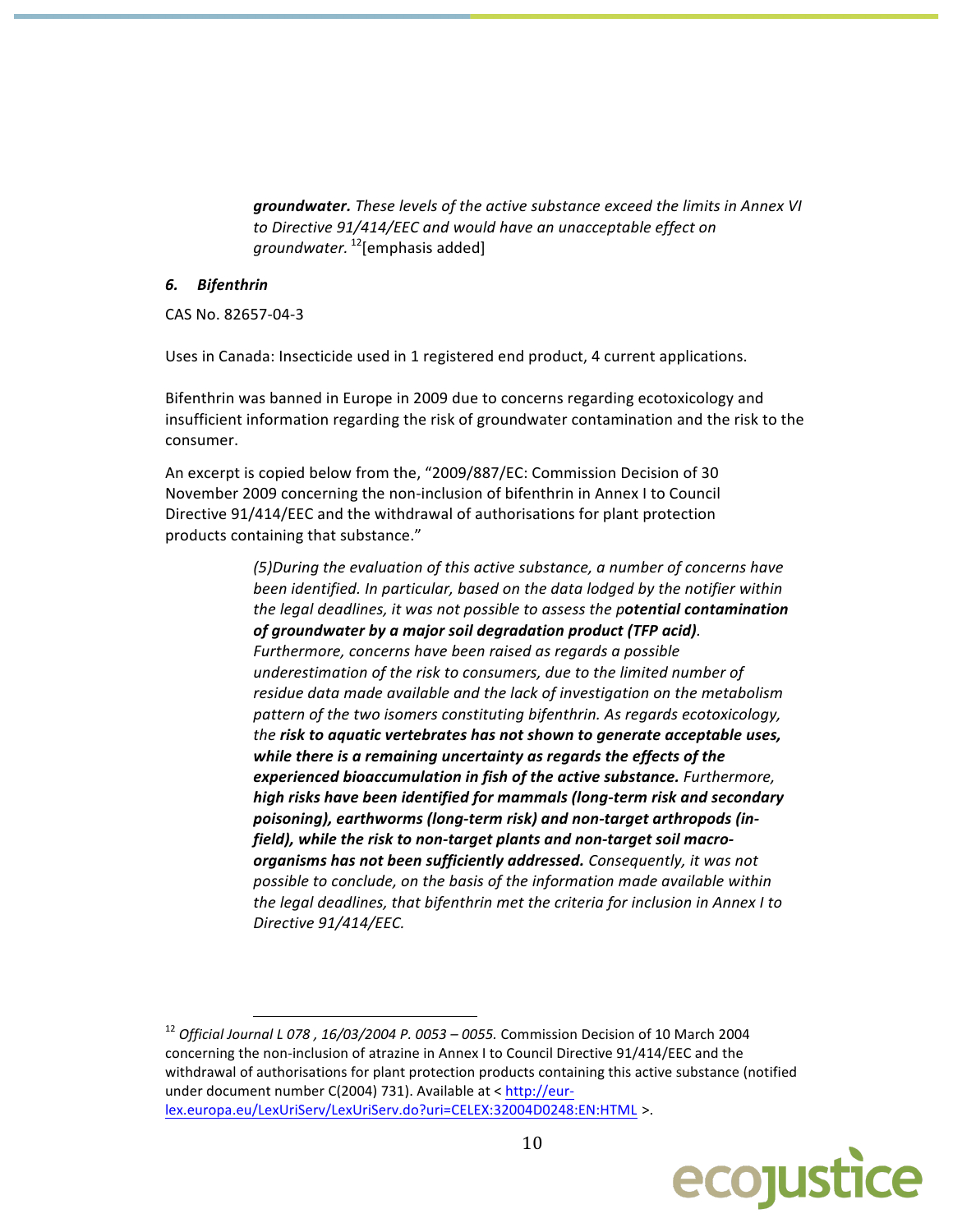groundwater. These levels of the active substance exceed the limits in Annex VI to Directive 91/414/EEC and would have an unacceptable effect on *groundwater.* <sup>12</sup>[emphasis added]

#### 6. Bifenthrin

CAS No. 82657-04-3

Uses in Canada: Insecticide used in 1 registered end product, 4 current applications.

Bifenthrin was banned in Europe in 2009 due to concerns regarding ecotoxicology and insufficient information regarding the risk of groundwater contamination and the risk to the consumer.

An excerpt is copied below from the, "2009/887/EC: Commission Decision of 30 November 2009 concerning the non-inclusion of bifenthrin in Annex I to Council Directive 91/414/EEC and the withdrawal of authorisations for plant protection products containing that substance."

> (5) During the evaluation of this active substance, a number of concerns have been identified. In particular, based on the data lodged by the notifier within the legal deadlines, it was not possible to assess the potential contamination of groundwater by a major soil degradation product (TFP acid). Furthermore, concerns have been raised as regards a possible underestimation of the risk to consumers, due to the limited number of residue data made available and the lack of investigation on the metabolism pattern of the two isomers constituting bifenthrin. As regards ecotoxicology, the risk to aquatic vertebrates has not shown to generate acceptable uses, while there is a remaining uncertainty as regards the effects of the experienced bioaccumulation in fish of the active substance. Furthermore, high risks have been identified for mammals (long-term risk and secondary poisoning), earthworms (long-term risk) and non-target arthropods (infield), while the risk to non-target plants and non-target soil macroorganisms has not been sufficiently addressed. Consequently, it was not possible to conclude, on the basis of the information made available within the legal deadlines, that bifenthrin met the criteria for inclusion in Annex I to Directive 91/414/EEC.

<sup>&</sup>lt;sup>12</sup> Official Journal L 078, 16/03/2004 P. 0053 - 0055. Commission Decision of 10 March 2004 concerning the non-inclusion of atrazine in Annex I to Council Directive 91/414/EEC and the withdrawal of authorisations for plant protection products containing this active substance (notified under document number C(2004) 731). Available at < http://eurlex.europa.eu/LexUriServ/LexUriServ.do?uri=CELEX:32004D0248:EN:HTML >.

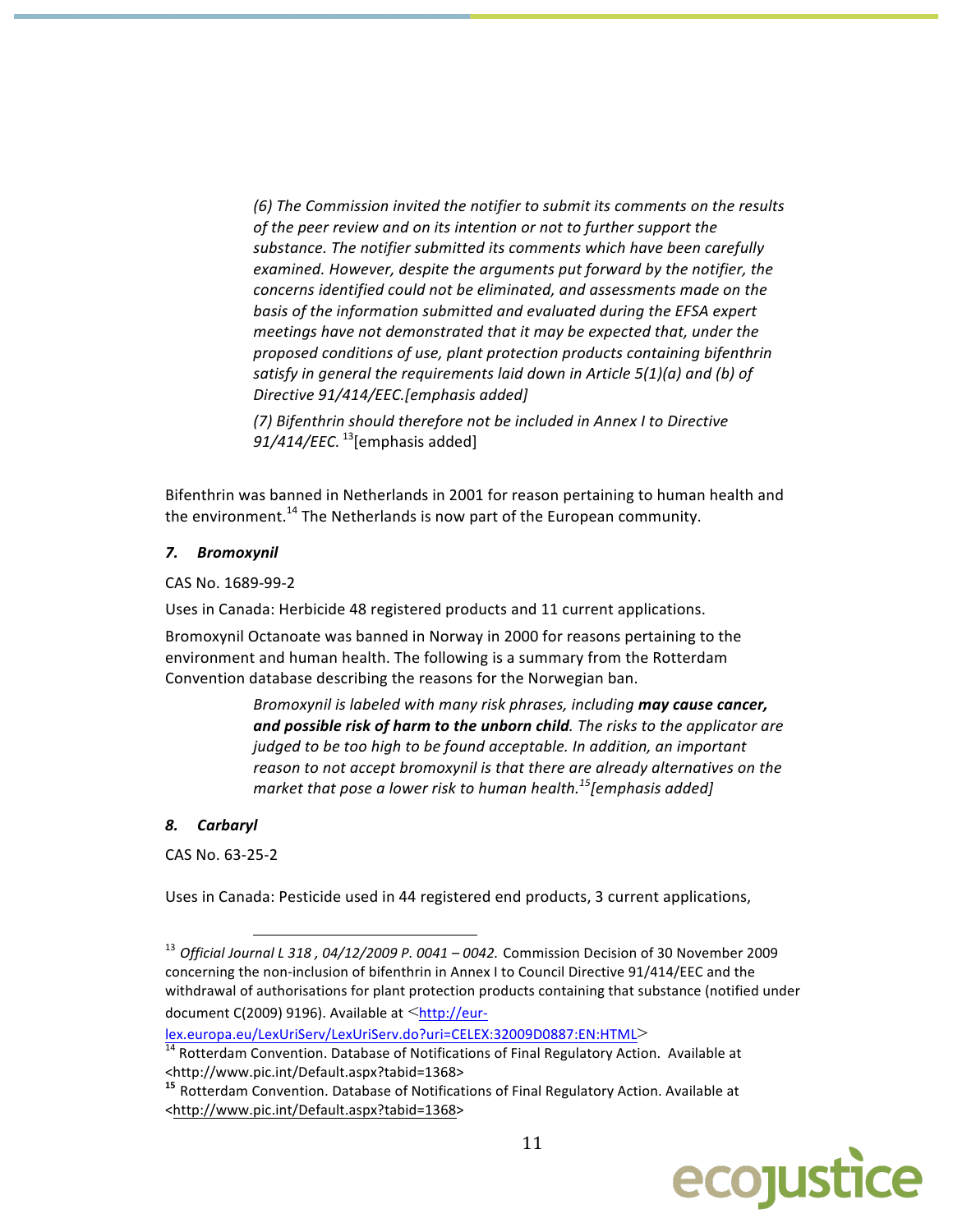(6) The Commission invited the notifier to submit its comments on the results of the peer review and on its intention or not to further support the substance. The notifier submitted its comments which have been carefully examined. However, despite the arguments put forward by the notifier, the concerns identified could not be eliminated, and assessments made on the basis of the information submitted and evaluated during the EFSA expert meetings have not demonstrated that it may be expected that, under the proposed conditions of use, plant protection products containing bifenthrin satisfy in general the requirements laid down in Article  $5(1)(a)$  and (b) of Directive 91/414/EEC.[emphasis added]

(7) Bifenthrin should therefore not be included in Annex I to Directive  $91/414/$ EEC.  $^{13}$ [emphasis added]

Bifenthrin was banned in Netherlands in 2001 for reason pertaining to human health and the environment.<sup>14</sup> The Netherlands is now part of the European community.

#### 7. Bromoxynil

CAS No. 1689-99-2

Uses in Canada: Herbicide 48 registered products and 11 current applications.

Bromoxynil Octanoate was banned in Norway in 2000 for reasons pertaining to the environment and human health. The following is a summary from the Rotterdam Convention database describing the reasons for the Norwegian ban.

> Bromoxynil is labeled with many risk phrases, including may cause cancer, and possible risk of harm to the unborn child. The risks to the applicator are judged to be too high to be found acceptable. In addition, an important reason to not accept bromoxynil is that there are already alternatives on the market that pose a lower risk to human health.<sup>15</sup> [emphasis added]

#### Carbaryl 8.

CAS No. 63-25-2

Uses in Canada: Pesticide used in 44 registered end products, 3 current applications,

lex.europa.eu/LexUriServ/LexUriServ.do?uri=CELEX:32009D0887:EN:HTML>

<sup>&</sup>lt;sup>15</sup> Rotterdam Convention. Database of Notifications of Final Regulatory Action. Available at <http://www.pic.int/Default.aspx?tabid=1368>



 $^{13}$  Official Journal L 318, 04/12/2009 P. 0041 - 0042. Commission Decision of 30 November 2009 concerning the non-inclusion of bifenthrin in Annex I to Council Directive 91/414/EEC and the withdrawal of authorisations for plant protection products containing that substance (notified under document C(2009) 9196). Available at <http://eur-

<sup>&</sup>lt;sup>14</sup> Rotterdam Convention. Database of Notifications of Final Regulatory Action. Available at <http://www.pic.int/Default.aspx?tabid=1368>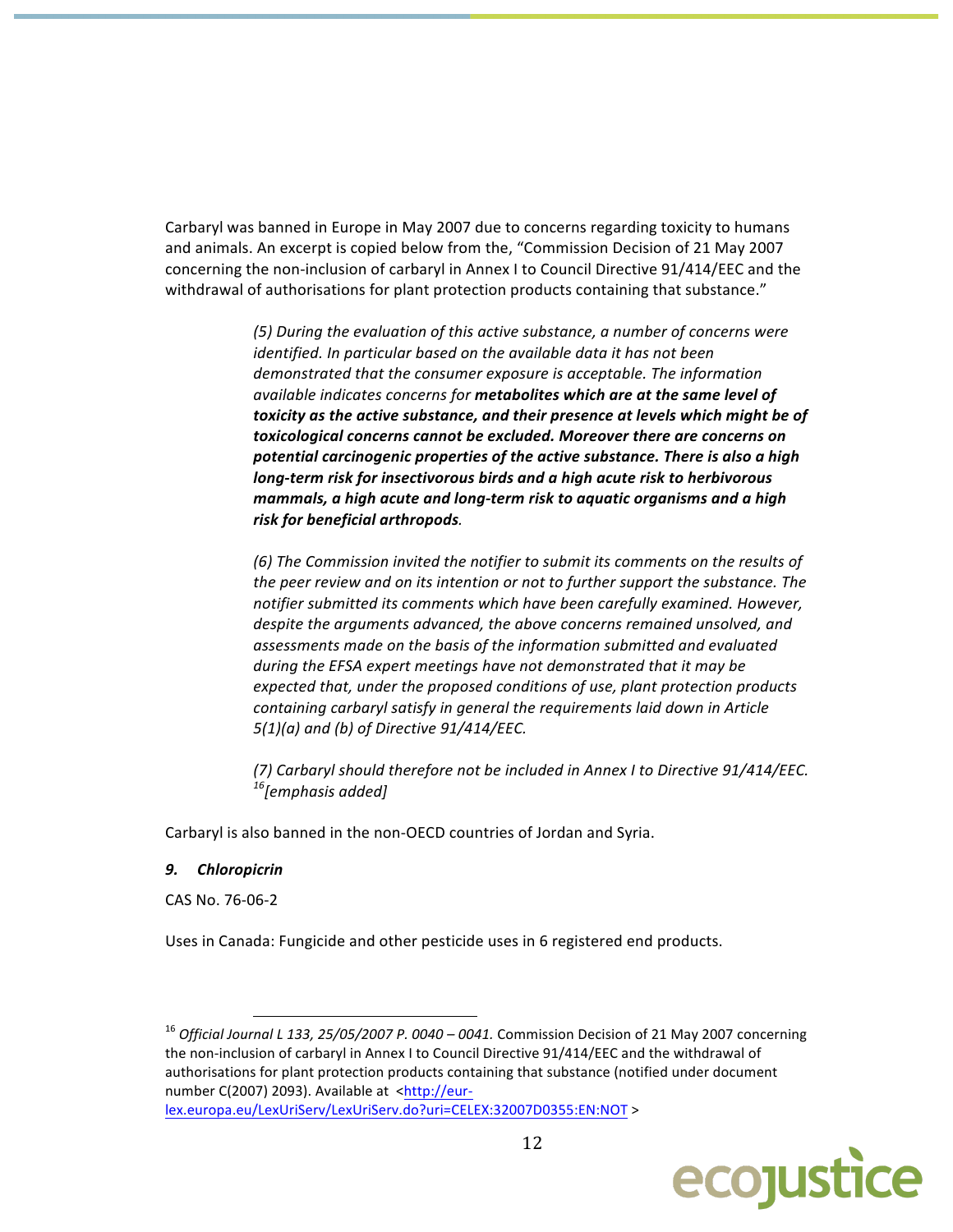Carbaryl was banned in Europe in May 2007 due to concerns regarding toxicity to humans and animals. An excerpt is copied below from the, "Commission Decision of 21 May 2007 concerning the non-inclusion of carbaryl in Annex I to Council Directive 91/414/EEC and the withdrawal of authorisations for plant protection products containing that substance."

> (5) During the evaluation of this active substance, a number of concerns were identified. In particular based on the available data it has not been demonstrated that the consumer exposure is acceptable. The information available indicates concerns for metabolites which are at the same level of toxicity as the active substance, and their presence at levels which might be of toxicological concerns cannot be excluded. Moreover there are concerns on potential carcinogenic properties of the active substance. There is also a high long-term risk for insectivorous birds and a high acute risk to herbivorous mammals, a high acute and long-term risk to aquatic organisms and a high risk for beneficial arthropods.

> (6) The Commission invited the notifier to submit its comments on the results of the peer review and on its intention or not to further support the substance. The notifier submitted its comments which have been carefully examined. However, despite the arguments advanced, the above concerns remained unsolved, and assessments made on the basis of the information submitted and evaluated during the EFSA expert meetings have not demonstrated that it may be expected that, under the proposed conditions of use, plant protection products containing carbaryl satisfy in general the requirements laid down in Article  $5(1)(a)$  and (b) of Directive 91/414/EEC.

> (7) Carbaryl should therefore not be included in Annex I to Directive 91/414/EEC. <sup>16</sup>[emphasis added]

Carbaryl is also banned in the non-OECD countries of Jordan and Syria.

## 9. Chloropicrin

CAS No. 76-06-2

Uses in Canada: Fungicide and other pesticide uses in 6 registered end products.

 $^{16}$  Official Journal L 133, 25/05/2007 P. 0040 – 0041. Commission Decision of 21 May 2007 concerning the non-inclusion of carbaryl in Annex I to Council Directive 91/414/EEC and the withdrawal of authorisations for plant protection products containing that substance (notified under document number C(2007) 2093). Available at <http://eurlex.europa.eu/LexUriServ/LexUriServ.do?uri=CELEX:32007D0355:EN:NOT >

ecojustice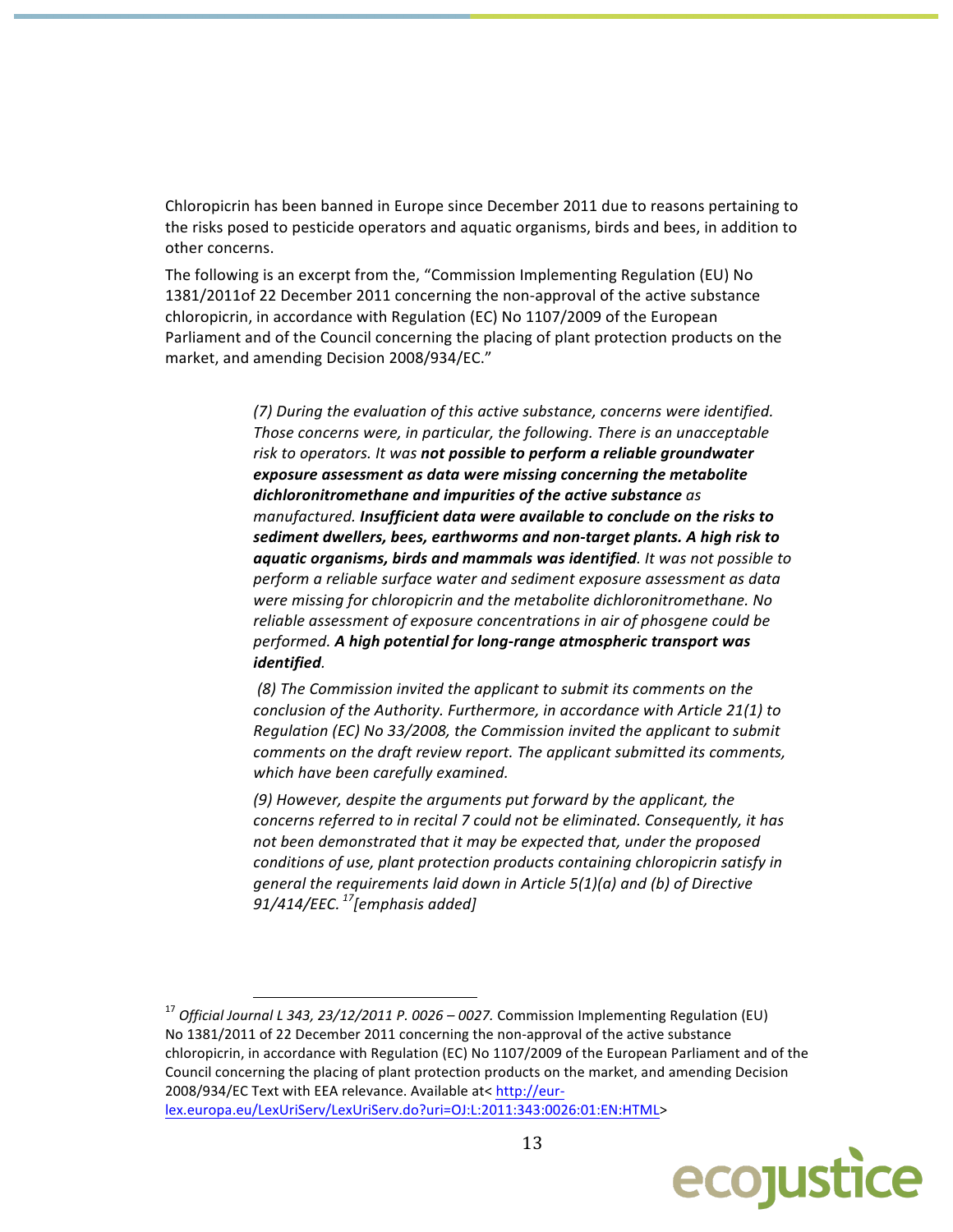Chloropicrin has been banned in Europe since December 2011 due to reasons pertaining to the risks posed to pesticide operators and aquatic organisms, birds and bees, in addition to other concerns.

The following is an excerpt from the, "Commission Implementing Regulation (EU) No 1381/2011of 22 December 2011 concerning the non-approval of the active substance chloropicrin, in accordance with Regulation (EC) No 1107/2009 of the European Parliament and of the Council concerning the placing of plant protection products on the market, and amending Decision 2008/934/EC."

> (7) During the evaluation of this active substance, concerns were identified. Those concerns were, in particular, the following. There is an unacceptable risk to operators. It was not possible to perform a reliable groundwater exposure assessment as data were missing concerning the metabolite dichloronitromethane and impurities of the active substance as manufactured. Insufficient data were available to conclude on the risks to sediment dwellers, bees, earthworms and non-target plants. A high risk to aquatic organisms, birds and mammals was identified. It was not possible to perform a reliable surface water and sediment exposure assessment as data were missing for chloropicrin and the metabolite dichloronitromethane. No reliable assessment of exposure concentrations in air of phosgene could be performed. A high potential for long-range atmospheric transport was identified.

(8) The Commission invited the applicant to submit its comments on the conclusion of the Authority. Furthermore, in accordance with Article 21(1) to Regulation (EC) No 33/2008, the Commission invited the applicant to submit comments on the draft review report. The applicant submitted its comments, which have been carefully examined.

(9) However, despite the arguments put forward by the applicant, the concerns referred to in recital 7 could not be eliminated. Consequently, it has not been demonstrated that it may be expected that, under the proposed conditions of use, plant protection products containing chloropicrin satisfy in general the requirements laid down in Article 5(1)(a) and (b) of Directive 91/414/EEC.  $^{17}$ [emphasis added]

 $^{17}$  Official Journal L 343, 23/12/2011 P. 0026 – 0027. Commission Implementing Regulation (EU) No 1381/2011 of 22 December 2011 concerning the non-approval of the active substance chloropicrin, in accordance with Regulation (EC) No 1107/2009 of the European Parliament and of the Council concerning the placing of plant protection products on the market, and amending Decision 2008/934/EC Text with EEA relevance. Available at< http://eurlex.europa.eu/LexUriServ/LexUriServ.do?uri=OJ:L:2011:343:0026:01:EN:HTML>

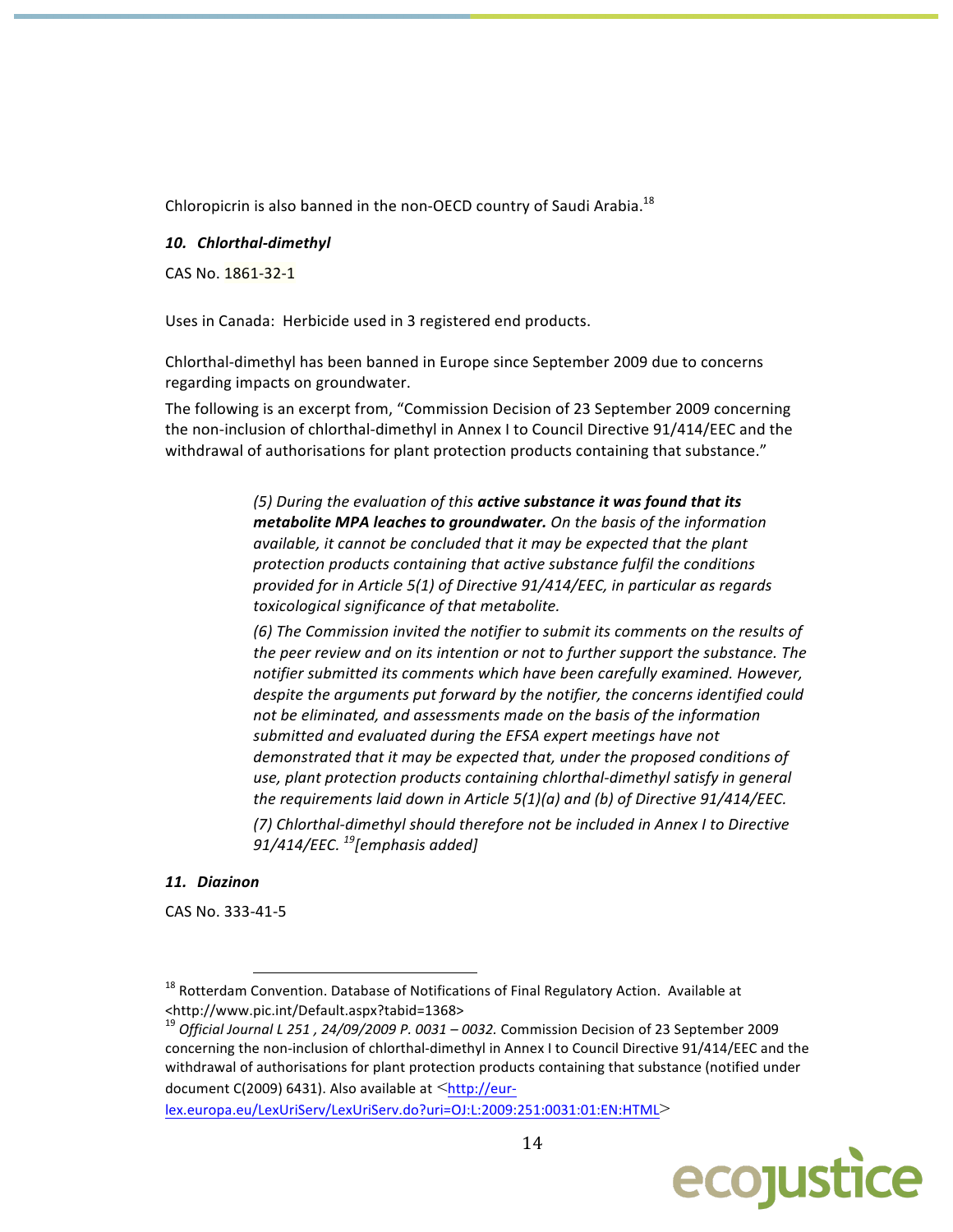Chloropicrin is also banned in the non-OECD country of Saudi Arabia.<sup>18</sup>

#### 10. Chlorthal-dimethyl

CAS No. 1861-32-1

Uses in Canada: Herbicide used in 3 registered end products.

Chlorthal-dimethyl has been banned in Europe since September 2009 due to concerns regarding impacts on groundwater.

The following is an excerpt from, "Commission Decision of 23 September 2009 concerning the non-inclusion of chlorthal-dimethyl in Annex I to Council Directive 91/414/EEC and the withdrawal of authorisations for plant protection products containing that substance."

> (5) During the evaluation of this active substance it was found that its metabolite MPA leaches to groundwater. On the basis of the information available, it cannot be concluded that it may be expected that the plant protection products containing that active substance fulfil the conditions provided for in Article 5(1) of Directive 91/414/EEC, in particular as regards toxicological significance of that metabolite.

(6) The Commission invited the notifier to submit its comments on the results of the peer review and on its intention or not to further support the substance. The notifier submitted its comments which have been carefully examined. However, despite the arguments put forward by the notifier, the concerns identified could not be eliminated, and assessments made on the basis of the information submitted and evaluated during the EFSA expert meetings have not demonstrated that it may be expected that, under the proposed conditions of use, plant protection products containing chlorthal-dimethyl satisfy in general the requirements laid down in Article  $5(1)(a)$  and (b) of Directive  $91/414/EEC$ .

(7) Chlorthal-dimethyl should therefore not be included in Annex I to Directive 91/414/EEC.  $^{19}$ [emphasis added]

## 11. Diazinon

CAS No. 333-41-5

lex.europa.eu/LexUriServ/LexUriServ.do?uri=OJ:L:2009:251:0031:01:EN:HTML>



<sup>&</sup>lt;sup>18</sup> Rotterdam Convention. Database of Notifications of Final Regulatory Action. Available at <http://www.pic.int/Default.aspx?tabid=1368>

<sup>&</sup>lt;sup>19</sup> Official Journal L 251, 24/09/2009 P. 0031 - 0032. Commission Decision of 23 September 2009 concerning the non-inclusion of chlorthal-dimethyl in Annex I to Council Directive 91/414/EEC and the withdrawal of authorisations for plant protection products containing that substance (notified under document C(2009) 6431). Also available at <http://eur-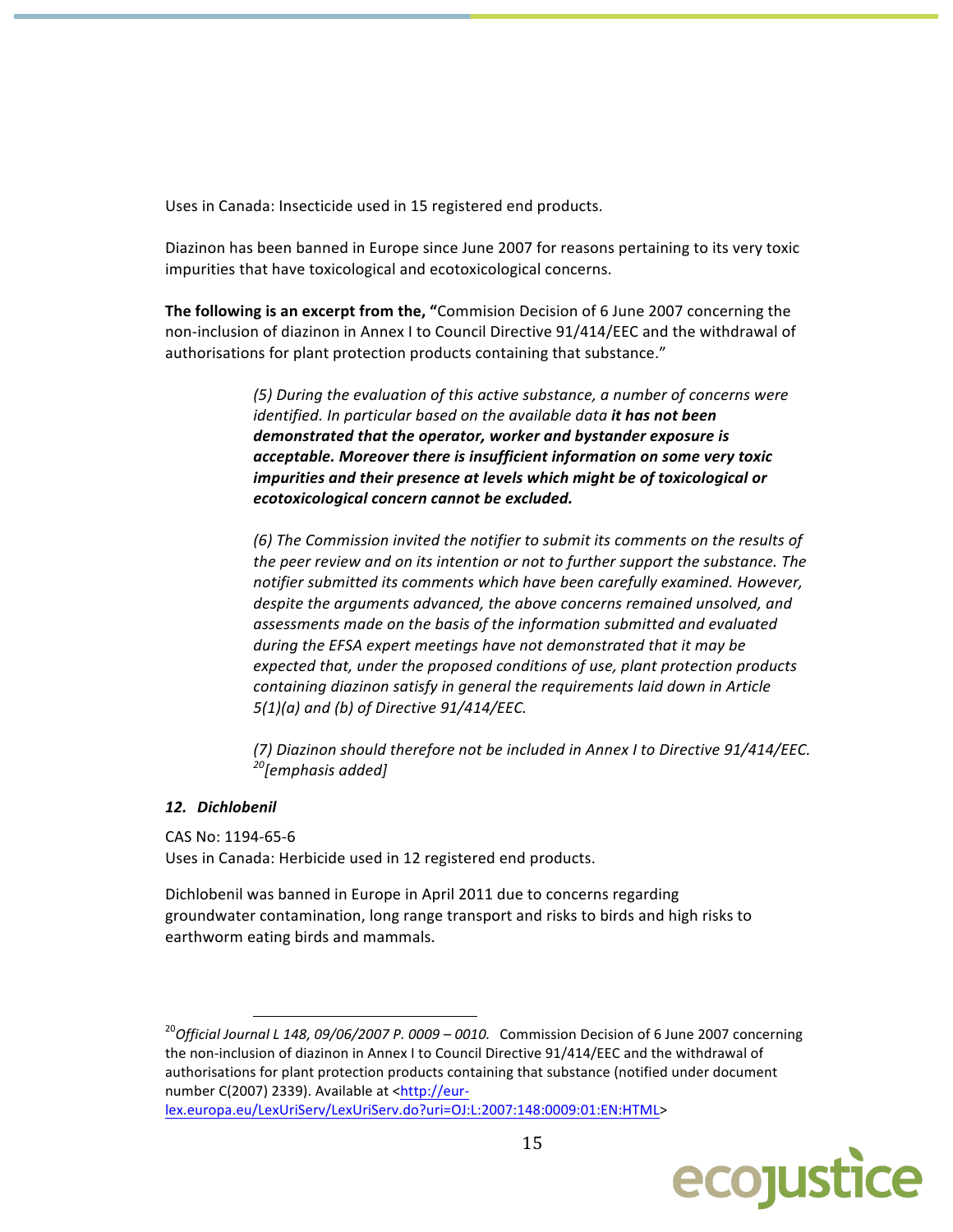Uses in Canada: Insecticide used in 15 registered end products.

Diazinon has been banned in Europe since June 2007 for reasons pertaining to its very toxic impurities that have toxicological and ecotoxicological concerns.

The following is an excerpt from the, "Commision Decision of 6 June 2007 concerning the non-inclusion of diazinon in Annex I to Council Directive 91/414/EEC and the withdrawal of authorisations for plant protection products containing that substance."

> (5) During the evaluation of this active substance, a number of concerns were identified. In particular based on the available data it has not been demonstrated that the operator, worker and bystander exposure is acceptable. Moreover there is insufficient information on some very toxic impurities and their presence at levels which might be of toxicological or ecotoxicological concern cannot be excluded.

(6) The Commission invited the notifier to submit its comments on the results of the peer review and on its intention or not to further support the substance. The notifier submitted its comments which have been carefully examined. However, despite the arguments advanced, the above concerns remained unsolved, and assessments made on the basis of the information submitted and evaluated during the EFSA expert meetings have not demonstrated that it may be expected that, under the proposed conditions of use, plant protection products containing diazinon satisfy in general the requirements laid down in Article  $5(1)(a)$  and (b) of Directive  $91/414/EEC$ .

(7) Diazinon should therefore not be included in Annex I to Directive 91/414/EEC. <sup>20</sup>[emphasis added]

## 12. Dichlobenil

CAS No: 1194-65-6

Uses in Canada: Herbicide used in 12 registered end products.

Dichlobenil was banned in Europe in April 2011 due to concerns regarding groundwater contamination, long range transport and risks to birds and high risks to earthworm eating birds and mammals.

lex.europa.eu/LexUriServ/LexUriServ.do?uri=OJ:L:2007:148:0009:01:EN:HTML>



 $^{20}$ Official Journal L 148, 09/06/2007 P. 0009 – 0010. Commission Decision of 6 June 2007 concerning the non-inclusion of diazinon in Annex I to Council Directive 91/414/EEC and the withdrawal of authorisations for plant protection products containing that substance (notified under document number C(2007) 2339). Available at <http://eur-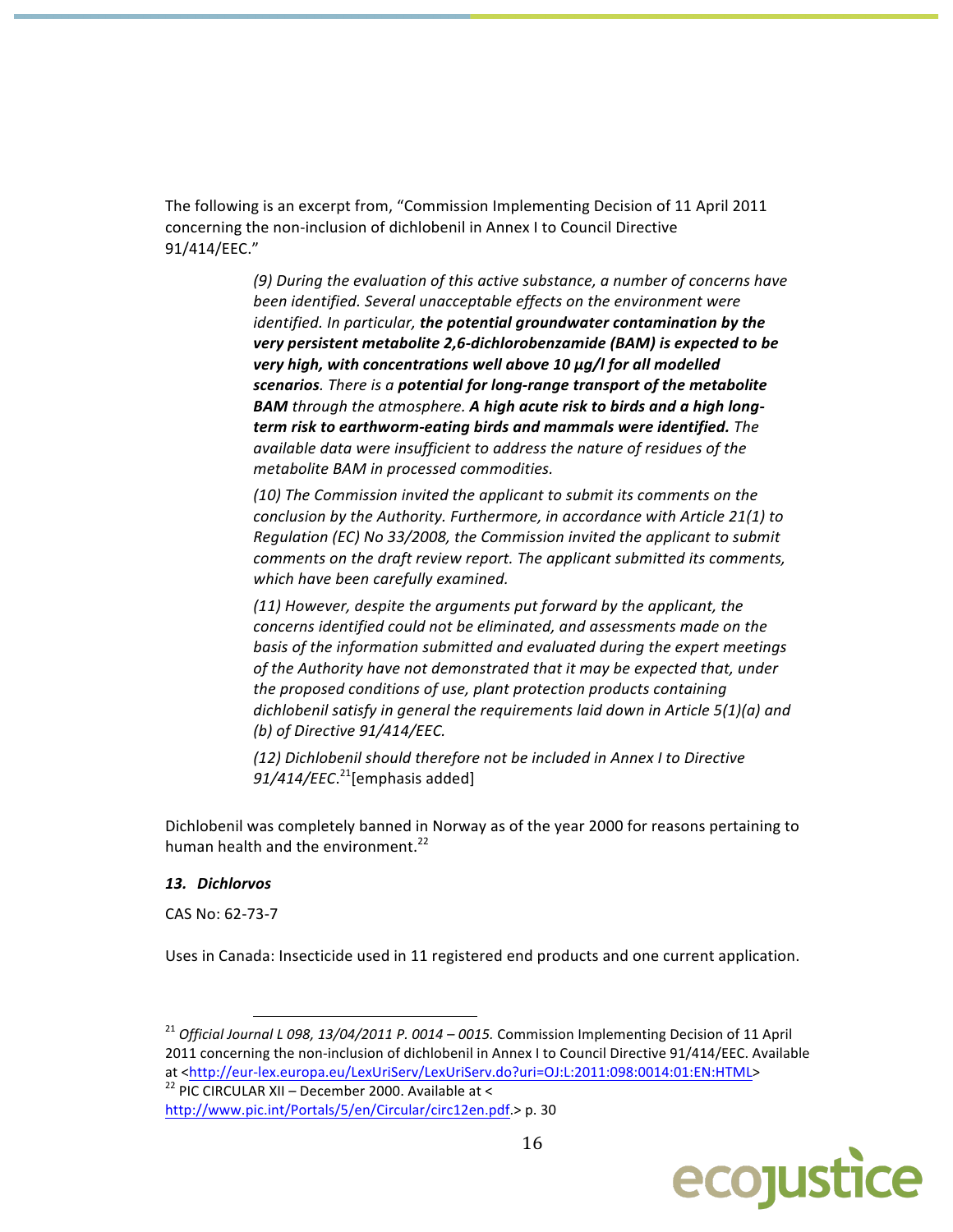The following is an excerpt from, "Commission Implementing Decision of 11 April 2011 concerning the non-inclusion of dichlobenil in Annex I to Council Directive 91/414/EEC."

> (9) During the evaluation of this active substance, a number of concerns have been identified. Several unacceptable effects on the environment were identified. In particular, the potential groundwater contamination by the very persistent metabolite 2,6-dichlorobenzamide (BAM) is expected to be very high, with concentrations well above 10 µg/l for all modelled scenarios. There is a potential for long-range transport of the metabolite **BAM** through the atmosphere. A high acute risk to birds and a high longterm risk to earthworm-eating birds and mammals were identified. The available data were insufficient to address the nature of residues of the metabolite BAM in processed commodities.

> (10) The Commission invited the applicant to submit its comments on the conclusion by the Authority. Furthermore, in accordance with Article 21(1) to Regulation (EC) No 33/2008, the Commission invited the applicant to submit comments on the draft review report. The applicant submitted its comments, which have been carefully examined.

(11) However, despite the arguments put forward by the applicant, the concerns identified could not be eliminated, and assessments made on the basis of the information submitted and evaluated during the expert meetings of the Authority have not demonstrated that it may be expected that, under the proposed conditions of use, plant protection products containing dichlobenil satisfy in general the requirements laid down in Article  $5(1)(a)$  and (b) of Directive 91/414/EEC.

(12) Dichlobenil should therefore not be included in Annex I to Directive  $91/414/EEC.<sup>21</sup>[emphasis added]$ 

Dichlobenil was completely banned in Norway as of the year 2000 for reasons pertaining to human health and the environment.<sup>22</sup>

#### 13. Dichlorvos

CAS No: 62-73-7

Uses in Canada: Insecticide used in 11 registered end products and one current application.

<sup>22</sup> PIC CIRCULAR XII - December 2000. Available at < http://www.pic.int/Portals/5/en/Circular/circ12en.pdf.> p. 30



<sup>&</sup>lt;sup>21</sup> Official Journal L 098, 13/04/2011 P. 0014 - 0015. Commission Implementing Decision of 11 April 2011 concerning the non-inclusion of dichlobenil in Annex I to Council Directive 91/414/EEC. Available at <http://eur-lex.europa.eu/LexUriServ/LexUriServ.do?uri=OJ:L:2011:098:0014:01:EN:HTML>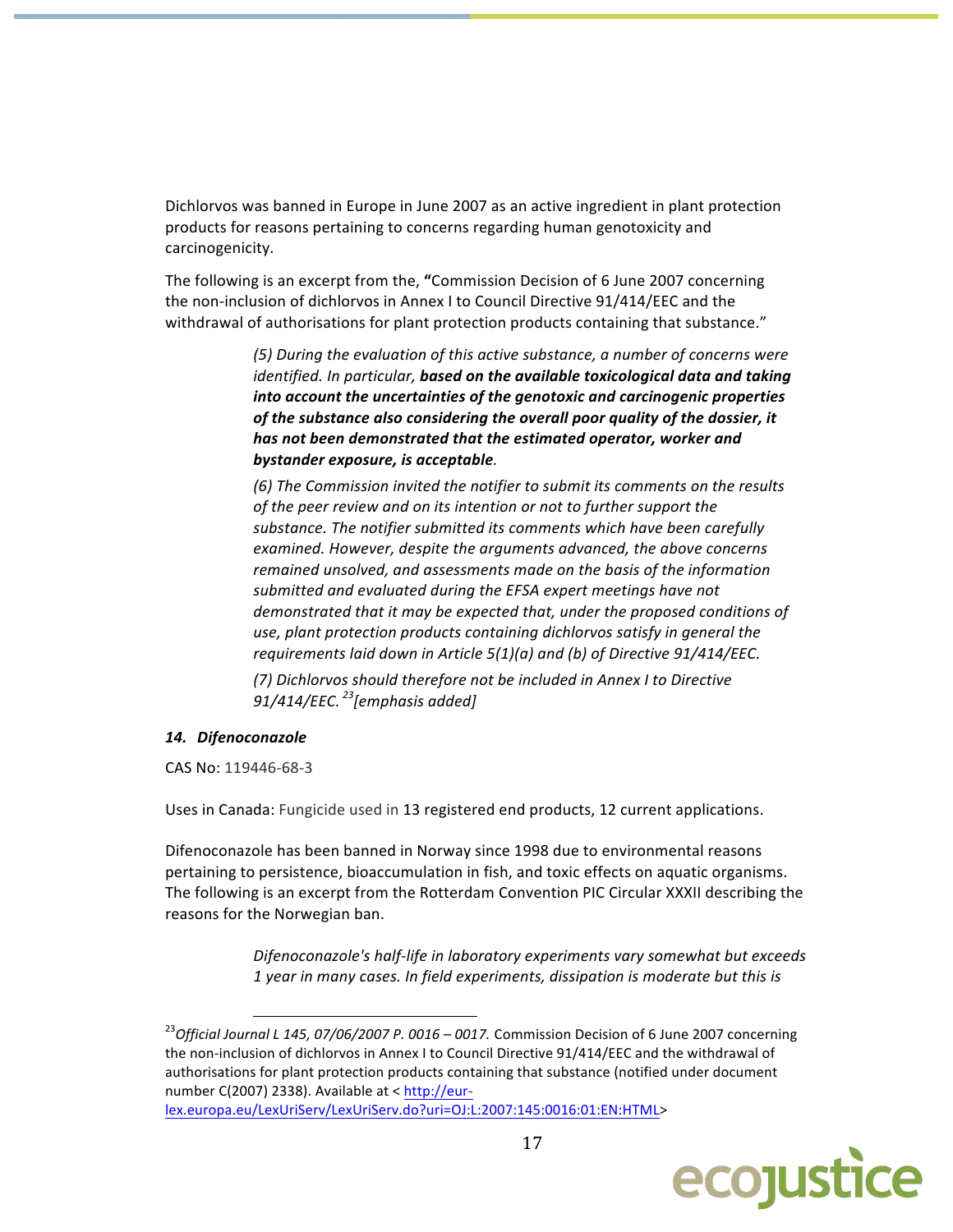Dichlorvos was banned in Europe in June 2007 as an active ingredient in plant protection products for reasons pertaining to concerns regarding human genotoxicity and carcinogenicity.

The following is an excerpt from the, "Commission Decision of 6 June 2007 concerning the non-inclusion of dichlorvos in Annex I to Council Directive 91/414/EEC and the withdrawal of authorisations for plant protection products containing that substance."

> (5) During the evaluation of this active substance, a number of concerns were identified. In particular, based on the available toxicological data and taking into account the uncertainties of the genotoxic and carcinogenic properties of the substance also considering the overall poor quality of the dossier, it has not been demonstrated that the estimated operator, worker and bystander exposure, is acceptable.

> (6) The Commission invited the notifier to submit its comments on the results of the peer review and on its intention or not to further support the substance. The notifier submitted its comments which have been carefully examined. However, despite the arguments advanced, the above concerns remained unsolved, and assessments made on the basis of the information submitted and evaluated during the EFSA expert meetings have not demonstrated that it may be expected that, under the proposed conditions of use, plant protection products containing dichlorvos satisfy in general the requirements laid down in Article 5(1)(a) and (b) of Directive 91/414/EEC.

(7) Dichlorvos should therefore not be included in Annex I to Directive 91/414/EEC.  $^{23}$ [emphasis added]

## 14. Difenoconazole

CAS No: 119446-68-3

Uses in Canada: Fungicide used in 13 registered end products, 12 current applications.

Difenoconazole has been banned in Norway since 1998 due to environmental reasons pertaining to persistence, bioaccumulation in fish, and toxic effects on aquatic organisms. The following is an excerpt from the Rotterdam Convention PIC Circular XXXII describing the reasons for the Norwegian ban.

> Difenoconazole's half-life in laboratory experiments vary somewhat but exceeds 1 year in many cases. In field experiments, dissipation is moderate but this is

lex.europa.eu/LexUriServ/LexUriServ.do?uri=OJ:L:2007:145:0016:01:EN:HTML>



<sup>&</sup>lt;sup>23</sup>Official Journal L 145, 07/06/2007 P. 0016 – 0017. Commission Decision of 6 June 2007 concerning the non-inclusion of dichlorvos in Annex I to Council Directive 91/414/EEC and the withdrawal of authorisations for plant protection products containing that substance (notified under document number C(2007) 2338). Available at < http://eur-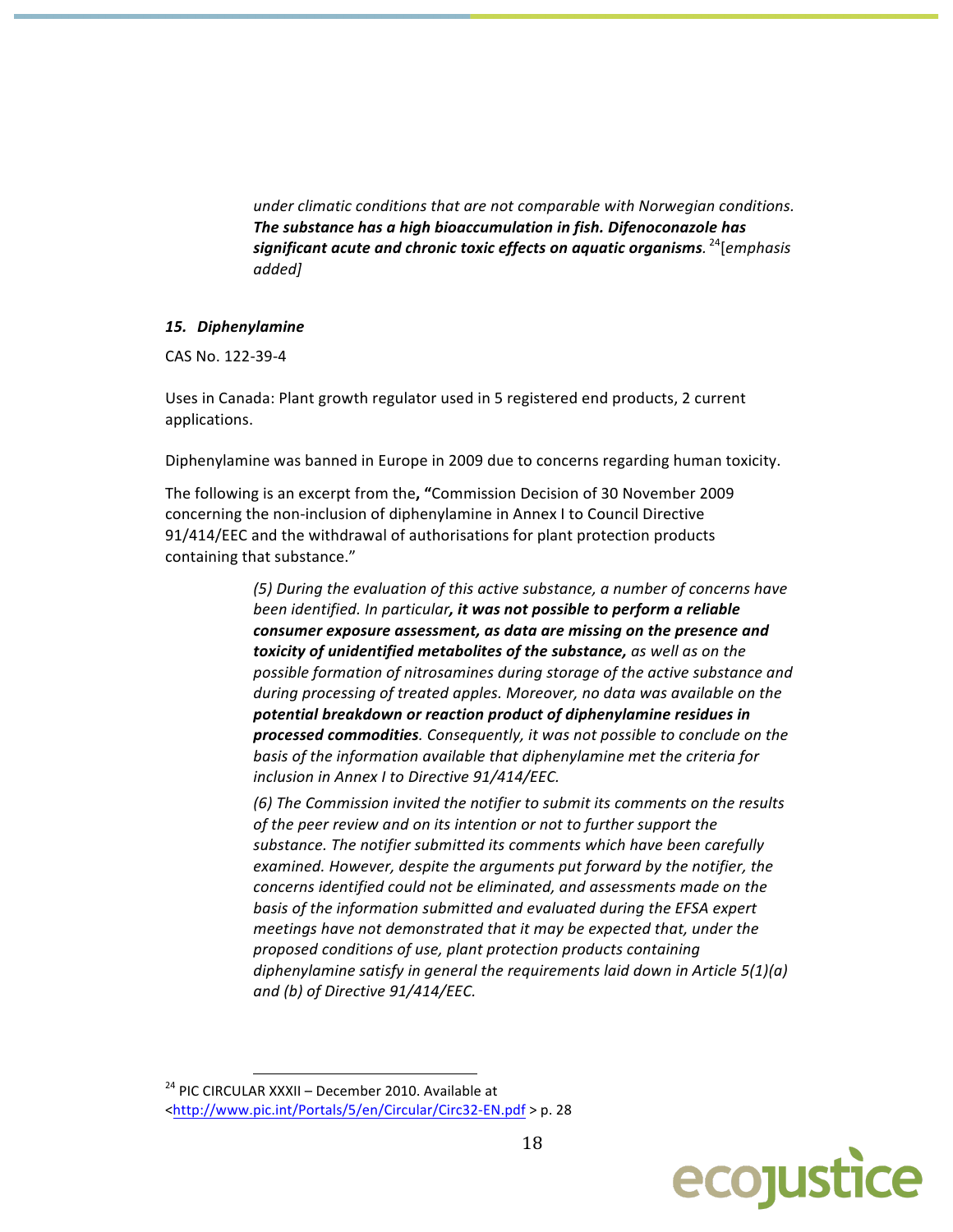under climatic conditions that are not comparable with Norwegian conditions. The substance has a high bioaccumulation in fish. Difenoconazole has significant acute and chronic toxic effects on aquatic organisms.<sup>24</sup>[emphasis] added]

#### 15. Diphenylamine

CAS No. 122-39-4

Uses in Canada: Plant growth regulator used in 5 registered end products, 2 current applications.

Diphenylamine was banned in Europe in 2009 due to concerns regarding human toxicity.

The following is an excerpt from the, "Commission Decision of 30 November 2009 concerning the non-inclusion of diphenylamine in Annex I to Council Directive 91/414/EEC and the withdrawal of authorisations for plant protection products containing that substance."

> (5) During the evaluation of this active substance, a number of concerns have been identified. In particular, it was not possible to perform a reliable consumer exposure assessment, as data are missing on the presence and toxicity of unidentified metabolites of the substance, as well as on the possible formation of nitrosamines during storage of the active substance and during processing of treated apples. Moreover, no data was available on the potential breakdown or reaction product of diphenylamine residues in processed commodities. Consequently, it was not possible to conclude on the basis of the information available that diphenylamine met the criteria for inclusion in Annex I to Directive 91/414/EEC.

> (6) The Commission invited the notifier to submit its comments on the results of the peer review and on its intention or not to further support the substance. The notifier submitted its comments which have been carefully examined. However, despite the arguments put forward by the notifier, the concerns identified could not be eliminated, and assessments made on the basis of the information submitted and evaluated during the EFSA expert meetings have not demonstrated that it may be expected that, under the proposed conditions of use, plant protection products containing diphenylamine satisfy in general the requirements laid down in Article 5(1)(a) and (b) of Directive 91/414/EEC.



<sup>&</sup>lt;sup>24</sup> PIC CIRCULAR XXXII - December 2010. Available at <http://www.pic.int/Portals/5/en/Circular/Circ32-EN.pdf > p. 28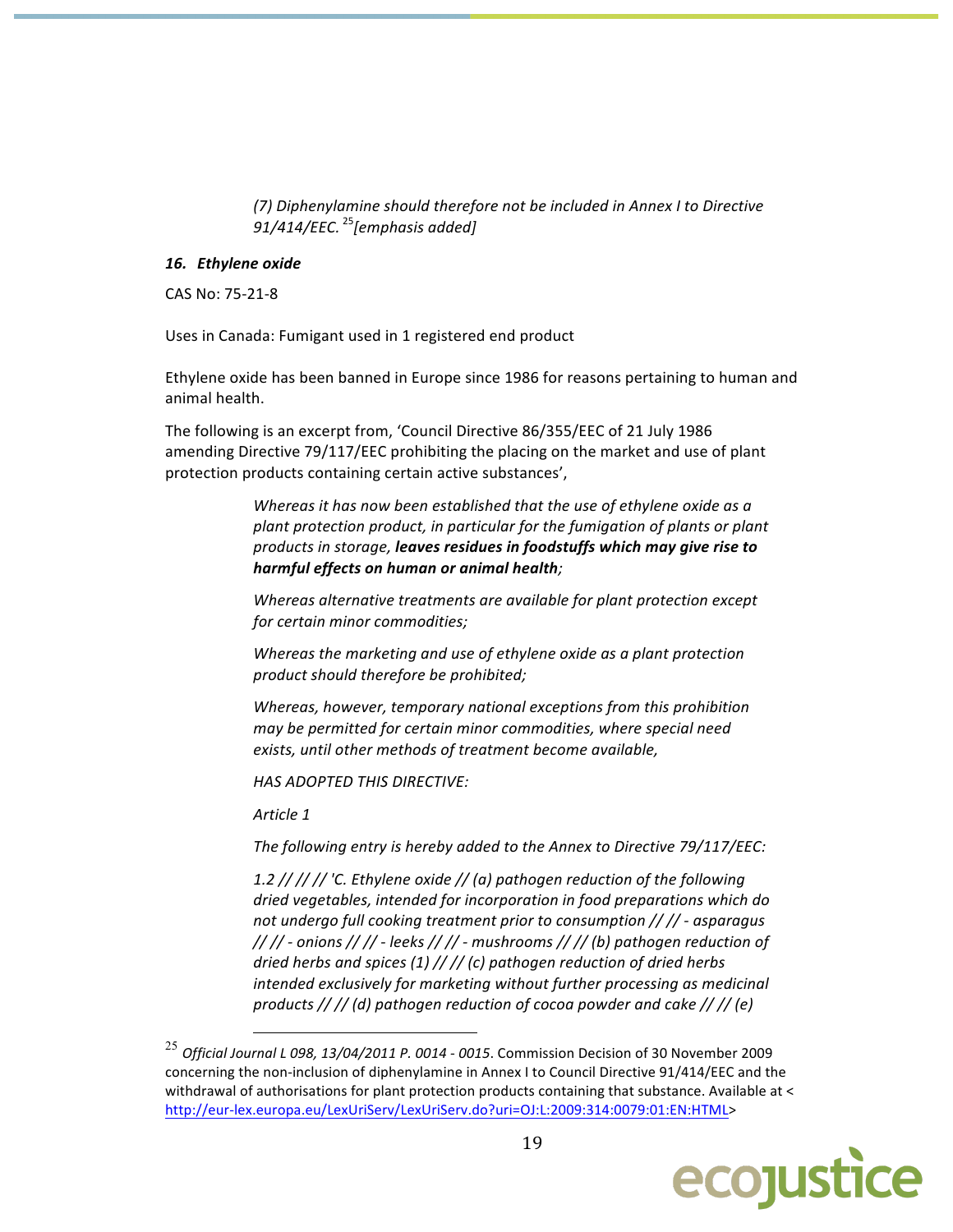(7) Diphenylamine should therefore not be included in Annex I to Directive 91/414/EEC.  $^{25}$ [emphasis added]

#### 16. Ethylene oxide

CAS No: 75-21-8

Uses in Canada: Fumigant used in 1 registered end product

Ethylene oxide has been banned in Europe since 1986 for reasons pertaining to human and animal health.

The following is an excerpt from, 'Council Directive 86/355/EEC of 21 July 1986 amending Directive 79/117/EEC prohibiting the placing on the market and use of plant protection products containing certain active substances',

> Whereas it has now been established that the use of ethylene oxide as a plant protection product, in particular for the fumigation of plants or plant products in storage, leaves residues in foodstuffs which may give rise to harmful effects on human or animal health;

Whereas alternative treatments are available for plant protection except for certain minor commodities;

Whereas the marketing and use of ethylene oxide as a plant protection product should therefore be prohibited;

Whereas, however, temporary national exceptions from this prohibition may be permitted for certain minor commodities, where special need exists, until other methods of treatment become available,

**HAS ADOPTED THIS DIRECTIVE:** 

Article 1

The following entry is hereby added to the Annex to Directive 79/117/EEC:

1.2 // // // 'C. Ethylene oxide // (a) pathogen reduction of the following dried vegetables, intended for incorporation in food preparations which do not undergo full cooking treatment prior to consumption // // - asparagus  $\frac{1}{1}$  // - onions // // - leeks // // - mushrooms // // (b) pathogen reduction of dried herbs and spices (1) // // (c) pathogen reduction of dried herbs intended exclusively for marketing without further processing as medicinal products // // (d) pathogen reduction of cocoa powder and cake // // (e)

 $^{25}$  Official Journal L 098, 13/04/2011 P. 0014 - 0015. Commission Decision of 30 November 2009 concerning the non-inclusion of diphenylamine in Annex I to Council Directive 91/414/EEC and the withdrawal of authorisations for plant protection products containing that substance. Available at < http://eur-lex.europa.eu/LexUriServ/LexUriServ.do?uri=OJ:L:2009:314:0079:01:EN:HTML>

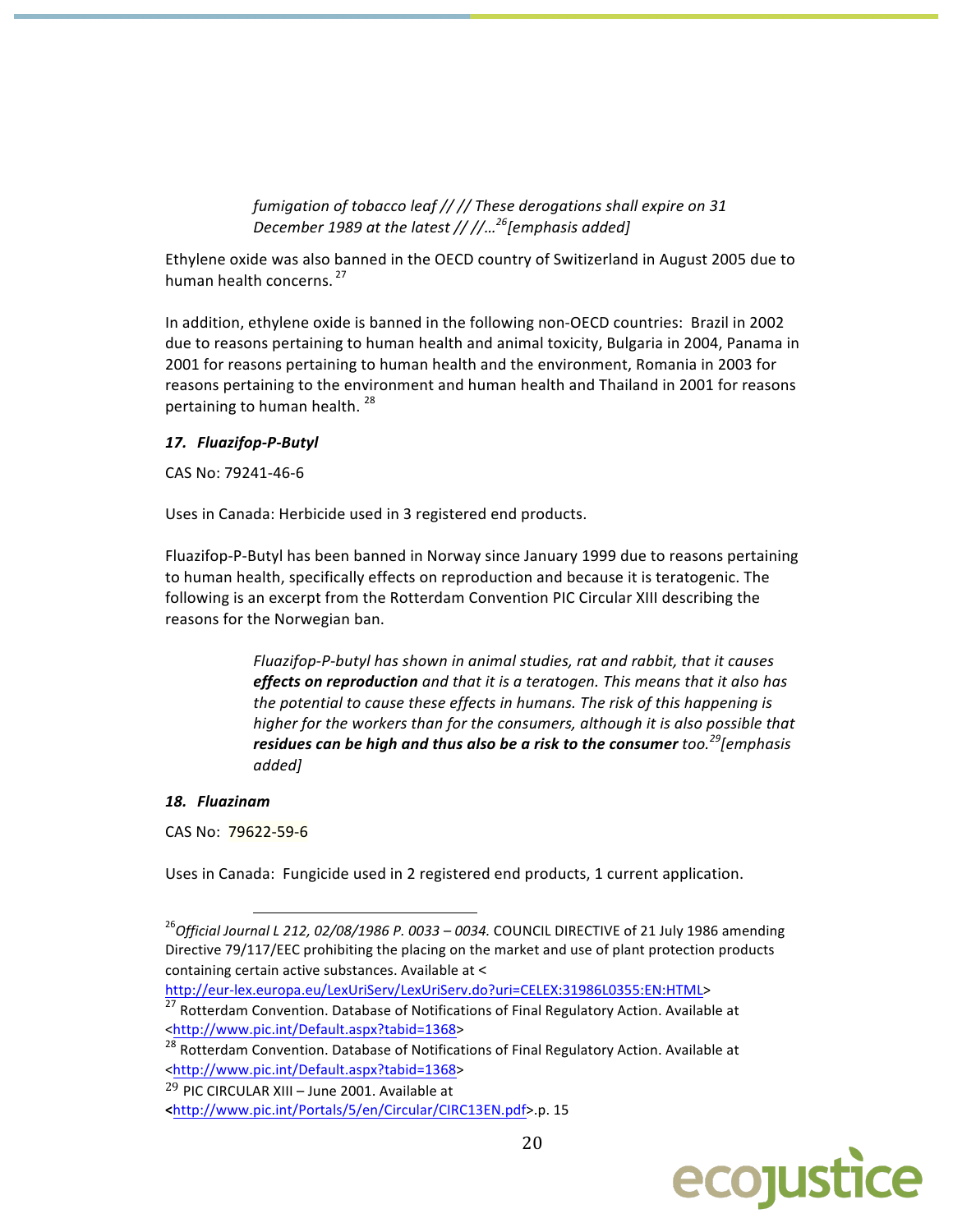fumigation of tobacco leaf // // These derogations shall expire on 31 December 1989 at the latest // //...<sup>26</sup>[emphasis added]

Ethylene oxide was also banned in the OECD country of Switizerland in August 2005 due to human health concerns.<sup>27</sup>

In addition, ethylene oxide is banned in the following non-OECD countries: Brazil in 2002 due to reasons pertaining to human health and animal toxicity, Bulgaria in 2004, Panama in 2001 for reasons pertaining to human health and the environment, Romania in 2003 for reasons pertaining to the environment and human health and Thailand in 2001 for reasons pertaining to human health.<sup>28</sup>

#### 17. Fluazifop-P-Butyl

CAS No: 79241-46-6

Uses in Canada: Herbicide used in 3 registered end products.

Fluazifop-P-Butyl has been banned in Norway since January 1999 due to reasons pertaining to human health, specifically effects on reproduction and because it is teratogenic. The following is an excerpt from the Rotterdam Convention PIC Circular XIII describing the reasons for the Norwegian ban.

> Fluazifop-P-butyl has shown in animal studies, rat and rabbit, that it causes effects on reproduction and that it is a teratogen. This means that it also has the potential to cause these effects in humans. The risk of this happening is higher for the workers than for the consumers, although it is also possible that residues can be high and thus also be a risk to the consumer too.<sup>29</sup>[emphasis added]

#### 18. Fluazinam

CAS No: 79622-59-6

Uses in Canada: Fungicide used in 2 registered end products, 1 current application.

http://eur-lex.europa.eu/LexUriServ/LexUriServ.do?uri=CELEX:31986L0355:EN:HTML>

<sup>27</sup> Rotterdam Convention. Database of Notifications of Final Regulatory Action. Available at <http://www.pic.int/Default.aspx?tabid=1368>



<sup>&</sup>lt;sup>26</sup>Official Journal L 212, 02/08/1986 P. 0033 - 0034. COUNCIL DIRECTIVE of 21 July 1986 amending Directive 79/117/EEC prohibiting the placing on the market and use of plant protection products containing certain active substances. Available at <

<sup>&</sup>lt;sup>28</sup> Rotterdam Convention. Database of Notifications of Final Regulatory Action. Available at <http://www.pic.int/Default.aspx?tabid=1368>

<sup>&</sup>lt;sup>29</sup> PIC CIRCULAR XIII - June 2001. Available at

<sup>&</sup>lt;http://www.pic.int/Portals/5/en/Circular/CIRC13EN.pdf>.p. 15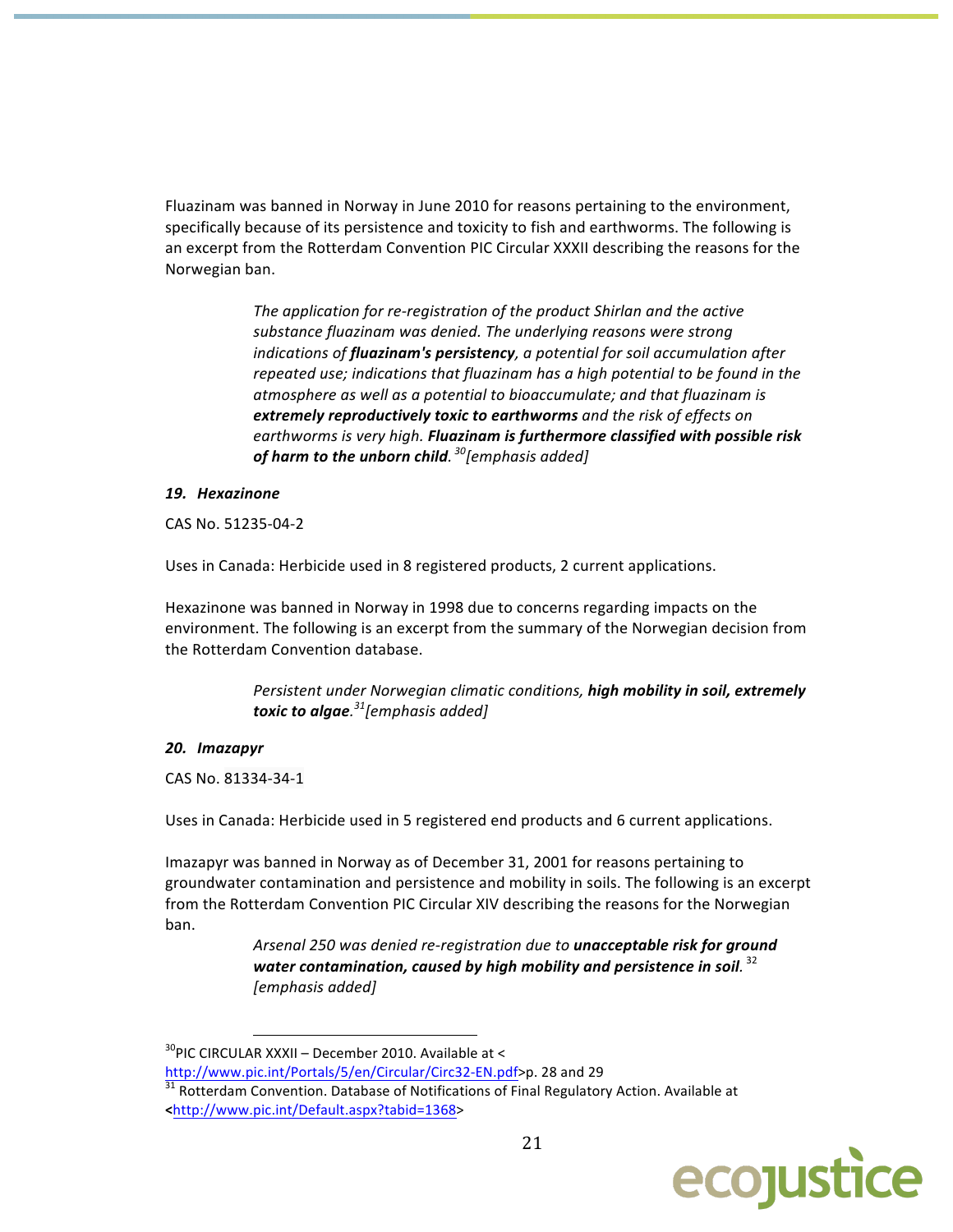Fluazinam was banned in Norway in June 2010 for reasons pertaining to the environment, specifically because of its persistence and toxicity to fish and earthworms. The following is an excerpt from the Rotterdam Convention PIC Circular XXXII describing the reasons for the Norwegian ban.

> The application for re-registration of the product Shirlan and the active substance fluazinam was denied. The underlying reasons were strong indications of **fluazinam's persistency**, a potential for soil accumulation after repeated use; indications that fluazinam has a high potential to be found in the atmosphere as well as a potential to bioaccumulate; and that fluazinam is extremely reproductively toxic to earthworms and the risk of effects on earthworms is very high. Fluazinam is furthermore classified with possible risk of harm to the unborn child.  $^{30}$ [emphasis added]

#### 19. Hexazinone

CAS No. 51235-04-2

Uses in Canada: Herbicide used in 8 registered products, 2 current applications.

Hexazinone was banned in Norway in 1998 due to concerns regarding impacts on the environment. The following is an excerpt from the summary of the Norwegian decision from the Rotterdam Convention database.

> Persistent under Norwegian climatic conditions, high mobility in soil, extremely toxic to algae. $31$ [emphasis added]

## 20. Imazapyr

CAS No. 81334-34-1

Uses in Canada: Herbicide used in 5 registered end products and 6 current applications.

Imazapyr was banned in Norway as of December 31, 2001 for reasons pertaining to groundwater contamination and persistence and mobility in soils. The following is an excerpt from the Rotterdam Convention PIC Circular XIV describing the reasons for the Norwegian ban.

> Arsenal 250 was denied re-registration due to unacceptable risk for ground water contamination, caused by high mobility and persistence in soil.  $32$ [emphasis added]

 $31$  Rotterdam Convention. Database of Notifications of Final Regulatory Action. Available at <http://www.pic.int/Default.aspx?tabid=1368>



<sup>&</sup>lt;sup>30</sup>PIC CIRCULAR XXXII - December 2010. Available at <

http://www.pic.int/Portals/5/en/Circular/Circ32-EN.pdf>p. 28 and 29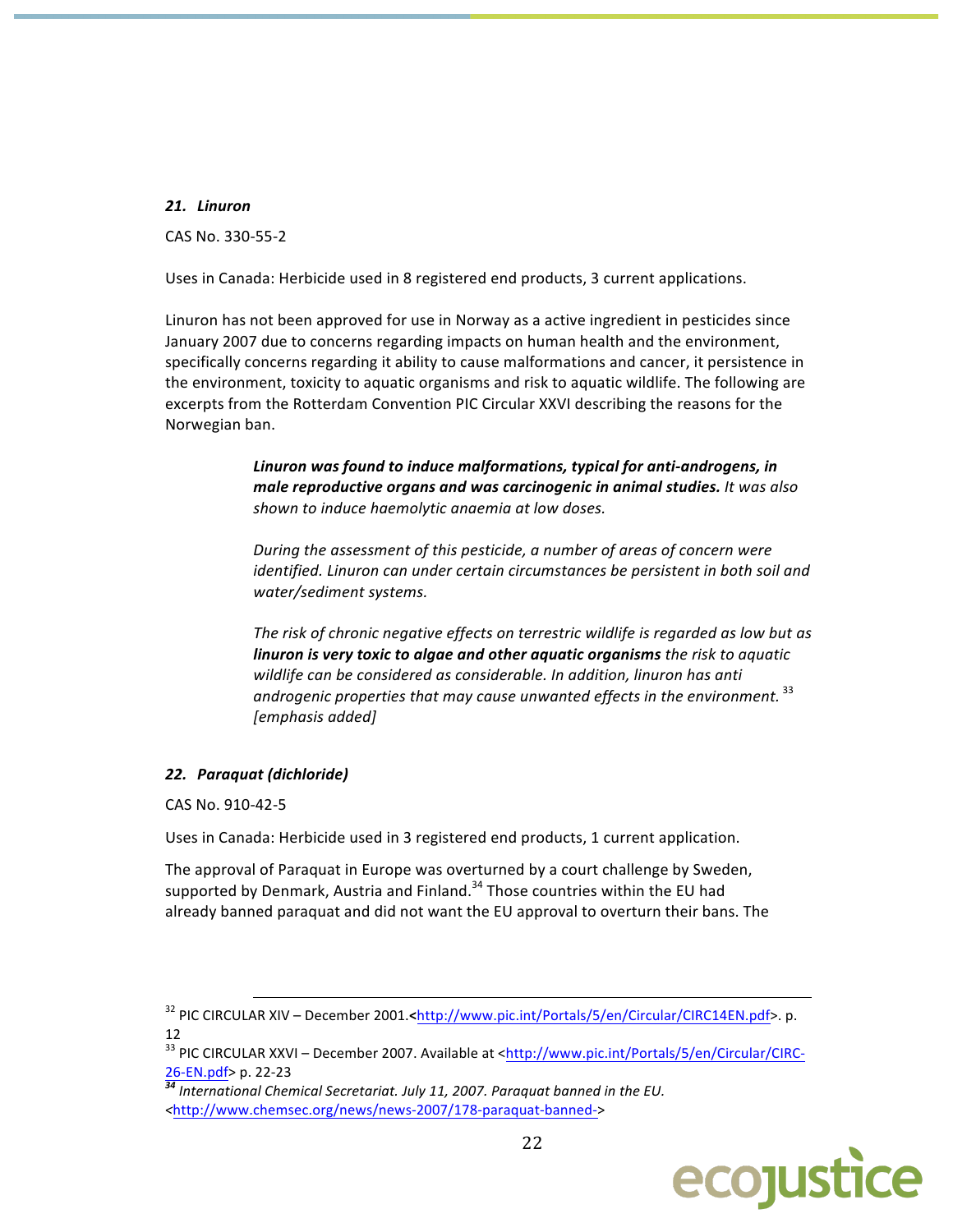#### 21. Linuron

CAS No. 330-55-2

Uses in Canada: Herbicide used in 8 registered end products, 3 current applications.

Linuron has not been approved for use in Norway as a active ingredient in pesticides since January 2007 due to concerns regarding impacts on human health and the environment, specifically concerns regarding it ability to cause malformations and cancer, it persistence in the environment, toxicity to aquatic organisms and risk to aquatic wildlife. The following are excerpts from the Rotterdam Convention PIC Circular XXVI describing the reasons for the Norwegian ban.

> Linuron was found to induce malformations, typical for anti-androgens, in male reproductive organs and was carcinogenic in animal studies. It was also shown to induce haemolytic anaemia at low doses.

During the assessment of this pesticide, a number of areas of concern were identified. Linuron can under certain circumstances be persistent in both soil and water/sediment systems.

The risk of chronic negative effects on terrestric wildlife is regarded as low but as linuron is very toxic to algae and other aquatic organisms the risk to aquatic wildlife can be considered as considerable. In addition, linuron has anti androgenic properties that may cause unwanted effects in the environment.<sup>33</sup> [emphasis added]

## 22. Paraquat (dichloride)

CAS No. 910-42-5

Uses in Canada: Herbicide used in 3 registered end products, 1 current application.

The approval of Paraguat in Europe was overturned by a court challenge by Sweden, supported by Denmark, Austria and Finland.<sup>34</sup> Those countries within the EU had already banned paraquat and did not want the EU approval to overturn their bans. The

<sup>34</sup> International Chemical Secretariat. July 11, 2007. Paraquat banned in the EU. <http://www.chemsec.org/news/news-2007/178-paraquat-banned->



<sup>&</sup>lt;sup>32</sup> PIC CIRCULAR XIV - December 2001.<http://www.pic.int/Portals/5/en/Circular/CIRC14EN.pdf>.p. 12

<sup>&</sup>lt;sup>33</sup> PIC CIRCULAR XXVI - December 2007. Available at <http://www.pic.int/Portals/5/en/Circular/CIRC-26-EN.pdf> p. 22-23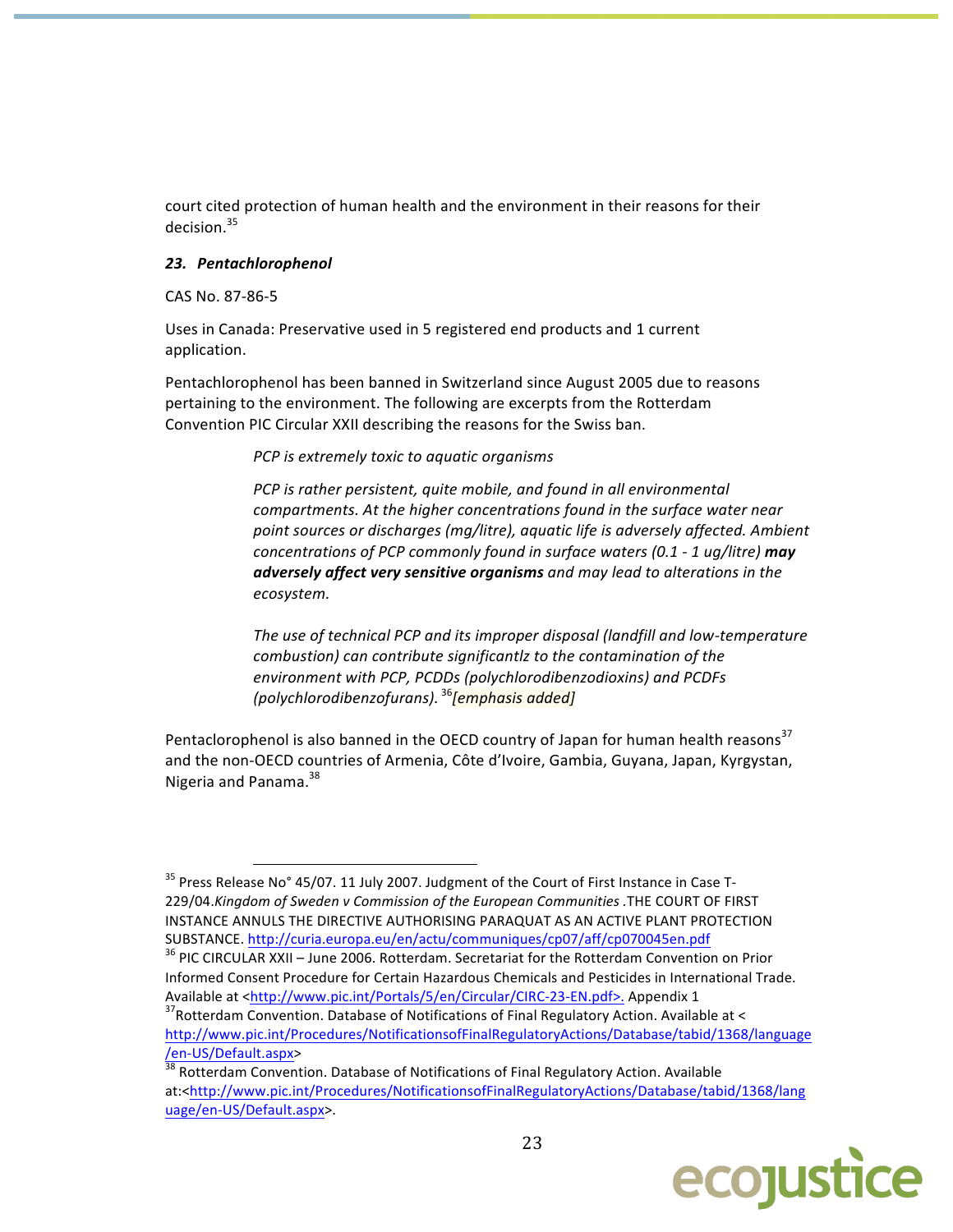court cited protection of human health and the environment in their reasons for their  $derision<sup>35</sup>$ 

#### 23. Pentachlorophenol

#### CAS No. 87-86-5

Uses in Canada: Preservative used in 5 registered end products and 1 current application.

Pentachlorophenol has been banned in Switzerland since August 2005 due to reasons pertaining to the environment. The following are excerpts from the Rotterdam Convention PIC Circular XXII describing the reasons for the Swiss ban.

PCP is extremely toxic to aquatic organisms

PCP is rather persistent, quite mobile, and found in all environmental compartments. At the higher concentrations found in the surface water near point sources or discharges (mg/litre), aquatic life is adversely affected. Ambient concentrations of PCP commonly found in surface waters (0.1 - 1 ug/litre) may adversely affect very sensitive organisms and may lead to alterations in the ecosystem.

The use of technical PCP and its improper disposal (landfill and low-temperature combustion) can contribute significantlz to the contamination of the environment with PCP, PCDDs (polychlorodibenzodioxins) and PCDFs (polychlorodibenzofurans). <sup>36</sup>[emphasis added]

Pentaclorophenol is also banned in the OECD country of Japan for human health reasons<sup>37</sup> and the non-OECD countries of Armenia, Côte d'Ivoire, Gambia, Guyana, Japan, Kyrgystan, Nigeria and Panama.<sup>38</sup>

 $\frac{38}{38}$  Rotterdam Convention. Database of Notifications of Final Regulatory Action. Available at:<http://www.pic.int/Procedures/NotificationsofFinalRegulatoryActions/Database/tabid/1368/lang uage/en-US/Default.aspx>.



<sup>&</sup>lt;sup>35</sup> Press Release No° 45/07. 11 July 2007. Judgment of the Court of First Instance in Case T-229/04.Kingdom of Sweden v Commission of the European Communities .THE COURT OF FIRST INSTANCE ANNULS THE DIRECTIVE AUTHORISING PARAQUAT AS AN ACTIVE PLANT PROTECTION SUBSTANCE. http://curia.europa.eu/en/actu/communiques/cp07/aff/cp070045en.pdf

<sup>&</sup>lt;sup>36</sup> PIC CIRCULAR XXII - June 2006. Rotterdam. Secretariat for the Rotterdam Convention on Prior Informed Consent Procedure for Certain Hazardous Chemicals and Pesticides in International Trade. Available at <http://www.pic.int/Portals/5/en/Circular/CIRC-23-EN.pdf>. Appendix 1

<sup>&</sup>lt;sup>37</sup> Rotterdam Convention. Database of Notifications of Final Regulatory Action. Available at < http://www.pic.int/Procedures/NotificationsofFinalRegulatoryActions/Database/tabid/1368/language /en-US/Default.aspx>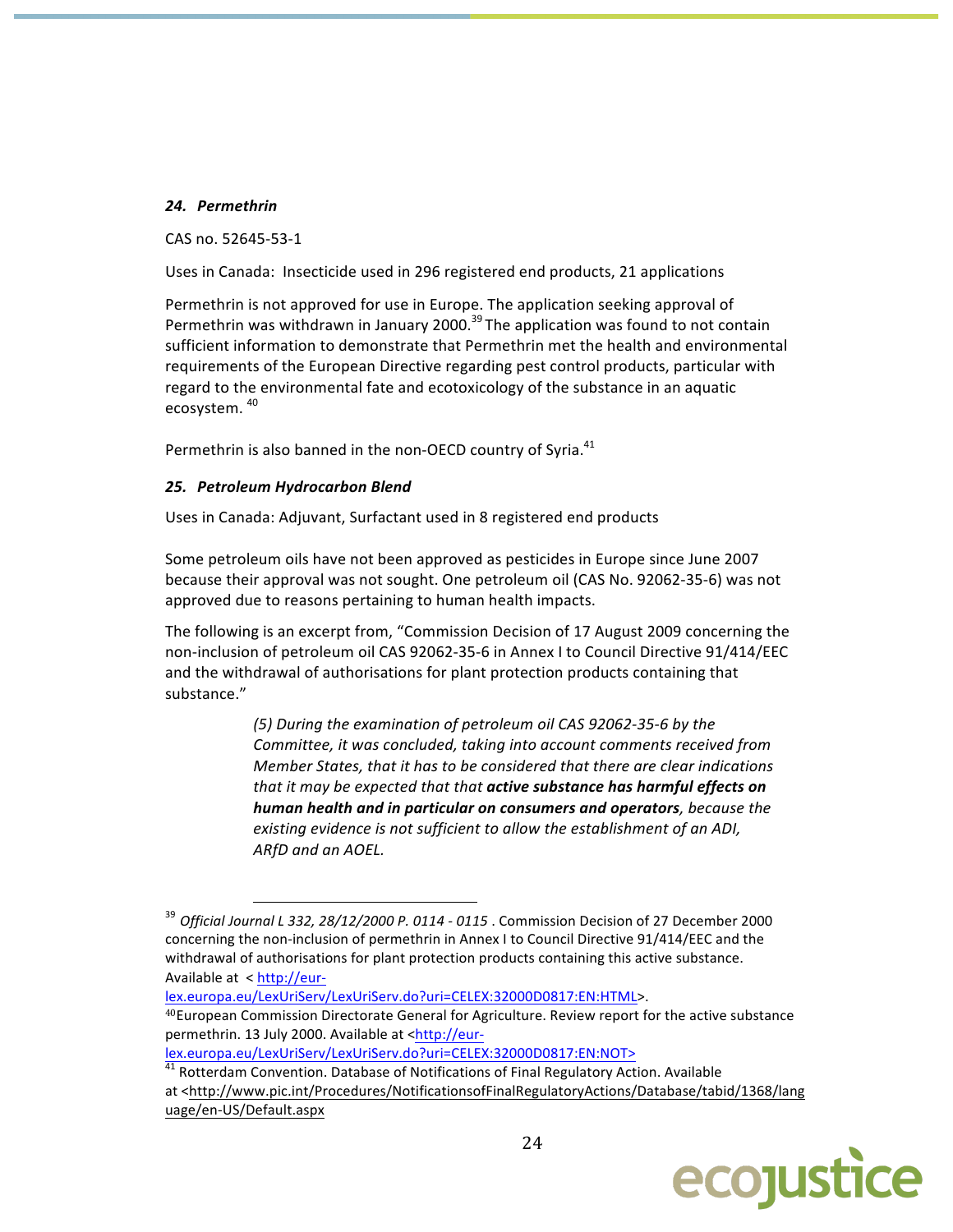## 24. Permethrin

CAS no. 52645-53-1

Uses in Canada: Insecticide used in 296 registered end products, 21 applications

Permethrin is not approved for use in Europe. The application seeking approval of Permethrin was withdrawn in January 2000.<sup>39</sup> The application was found to not contain sufficient information to demonstrate that Permethrin met the health and environmental requirements of the European Directive regarding pest control products, particular with regard to the environmental fate and ecotoxicology of the substance in an aquatic ecosystem.<sup>40</sup>

Permethrin is also banned in the non-OECD country of Syria.<sup>41</sup>

## 25. Petroleum Hydrocarbon Blend

Uses in Canada: Adjuvant, Surfactant used in 8 registered end products

Some petroleum oils have not been approved as pesticides in Europe since June 2007 because their approval was not sought. One petroleum oil (CAS No. 92062-35-6) was not approved due to reasons pertaining to human health impacts.

The following is an excerpt from, "Commission Decision of 17 August 2009 concerning the non-inclusion of petroleum oil CAS 92062-35-6 in Annex I to Council Directive 91/414/EEC and the withdrawal of authorisations for plant protection products containing that substance."

> (5) During the examination of petroleum oil CAS 92062-35-6 by the Committee, it was concluded, taking into account comments received from Member States, that it has to be considered that there are clear indications that it may be expected that that active substance has harmful effects on human health and in particular on consumers and operators, because the existing evidence is not sufficient to allow the establishment of an ADI, ARfD and an AOEL.

lex.europa.eu/LexUriServ/LexUriServ.do?uri=CELEX:32000D0817:EN:HTML>.

<sup>40</sup>European Commission Directorate General for Agriculture. Review report for the active substance permethrin. 13 July 2000. Available at <http://eur-

lex.europa.eu/LexUriServ/LexUriServ.do?uri=CELEX:32000D0817:EN:NOT>

<sup>41</sup> Rotterdam Convention. Database of Notifications of Final Regulatory Action. Available at <http://www.pic.int/Procedures/NotificationsofFinalRegulatoryActions/Database/tabid/1368/lang uage/en-US/Default.aspx



<sup>&</sup>lt;sup>39</sup> Official Journal L 332, 28/12/2000 P. 0114 - 0115 . Commission Decision of 27 December 2000 concerning the non-inclusion of permethrin in Annex I to Council Directive 91/414/EEC and the withdrawal of authorisations for plant protection products containing this active substance. Available at < http://eur-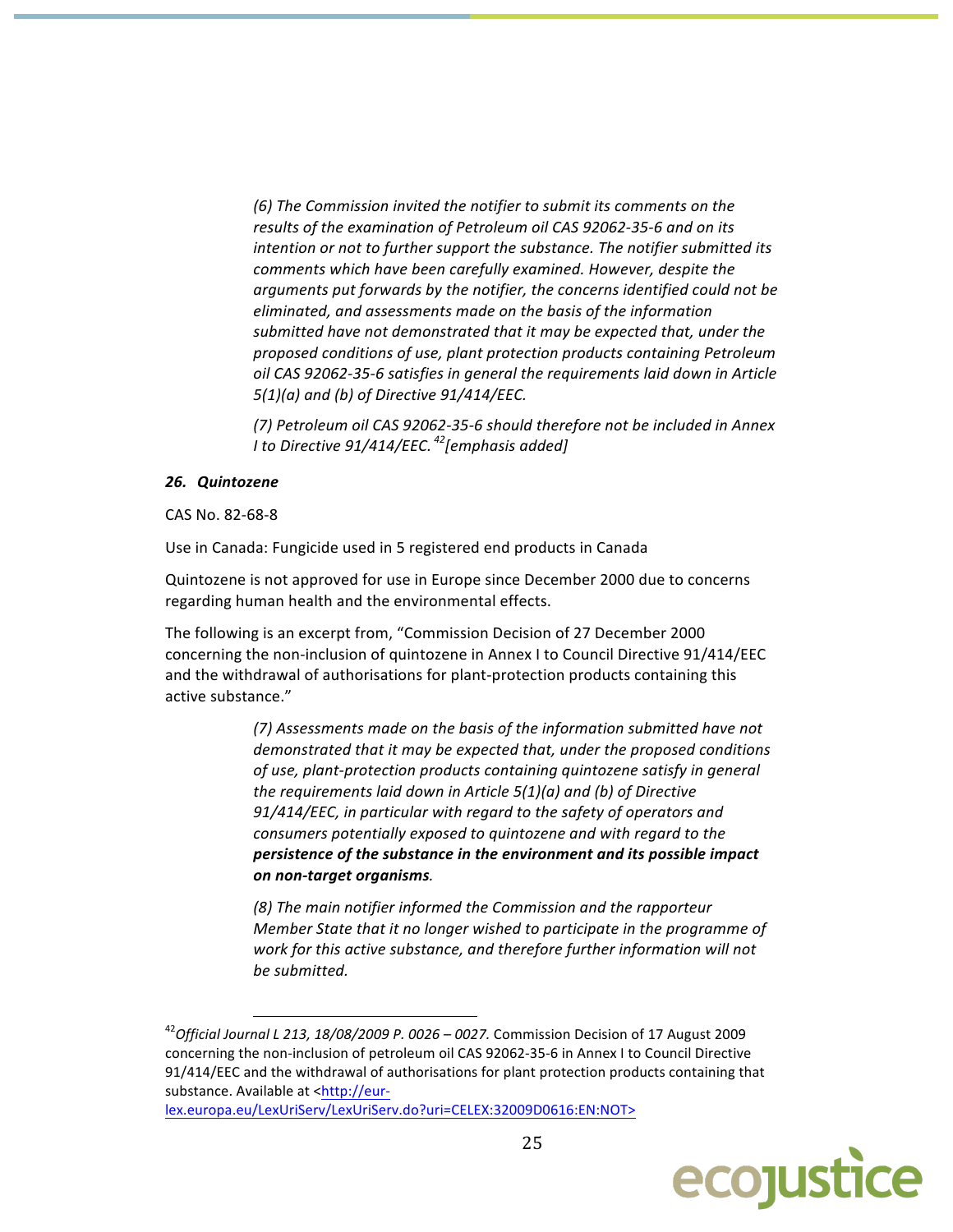(6) The Commission invited the notifier to submit its comments on the results of the examination of Petroleum oil CAS 92062-35-6 and on its intention or not to further support the substance. The notifier submitted its comments which have been carefully examined. However, despite the arguments put forwards by the notifier, the concerns identified could not be eliminated, and assessments made on the basis of the information submitted have not demonstrated that it may be expected that, under the proposed conditions of use, plant protection products containing Petroleum oil CAS 92062-35-6 satisfies in general the requirements laid down in Article  $5(1)(a)$  and (b) of Directive  $91/414/EEC$ .

(7) Petroleum oil CAS 92062-35-6 should therefore not be included in Annex I to Directive  $91/414$ /EEC.<sup>42</sup> [emphasis added]

#### 26. Quintozene

CAS No. 82-68-8

Use in Canada: Fungicide used in 5 registered end products in Canada

Quintozene is not approved for use in Europe since December 2000 due to concerns regarding human health and the environmental effects.

The following is an excerpt from, "Commission Decision of 27 December 2000 concerning the non-inclusion of quintozene in Annex I to Council Directive 91/414/EEC and the withdrawal of authorisations for plant-protection products containing this active substance."

> (7) Assessments made on the basis of the information submitted have not demonstrated that it may be expected that, under the proposed conditions of use, plant-protection products containing quintozene satisfy in general the requirements laid down in Article  $5(1)(a)$  and (b) of Directive 91/414/EEC, in particular with regard to the safety of operators and consumers potentially exposed to quintozene and with regard to the persistence of the substance in the environment and its possible impact on non-target organisms.

> (8) The main notifier informed the Commission and the rapporteur Member State that it no longer wished to participate in the programme of work for this active substance, and therefore further information will not be submitted.

lex.europa.eu/LexUriServ/LexUriServ.do?uri=CELEX:32009D0616:EN:NOT>



 $^{42}$ Official Journal L 213, 18/08/2009 P. 0026 – 0027. Commission Decision of 17 August 2009 concerning the non-inclusion of petroleum oil CAS 92062-35-6 in Annex I to Council Directive 91/414/EEC and the withdrawal of authorisations for plant protection products containing that substance. Available at <http://eur-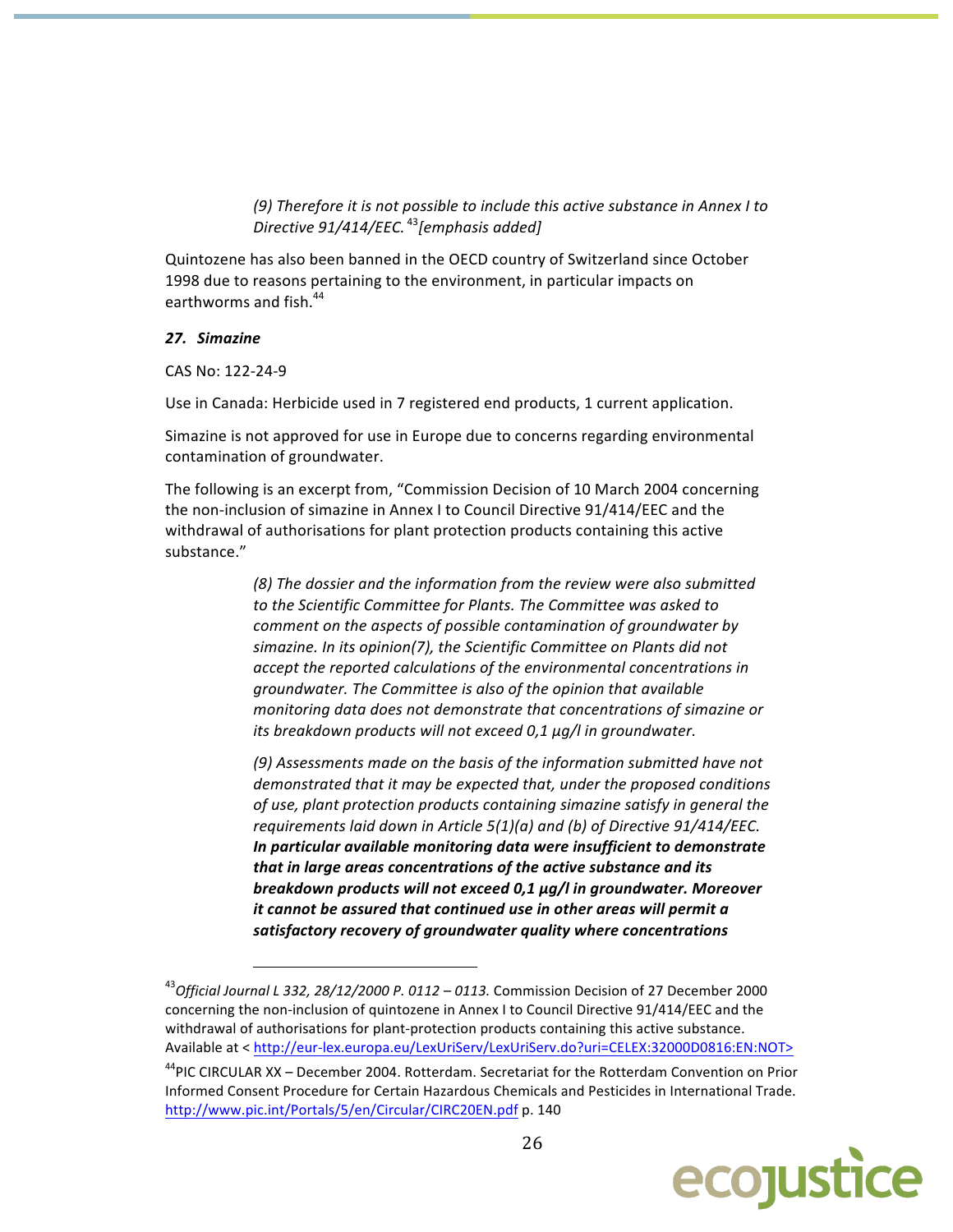(9) Therefore it is not possible to include this active substance in Annex I to  $\overline{O}$  Directive 91/414/EEC.<sup>43</sup> [emphasis added]

Quintozene has also been banned in the OECD country of Switzerland since October 1998 due to reasons pertaining to the environment, in particular impacts on earthworms and fish.<sup>44</sup>

#### 27. Simazine

CAS No: 122-24-9

Use in Canada: Herbicide used in 7 registered end products, 1 current application.

Simazine is not approved for use in Europe due to concerns regarding environmental contamination of groundwater.

The following is an excerpt from, "Commission Decision of 10 March 2004 concerning the non-inclusion of simazine in Annex I to Council Directive 91/414/EEC and the withdrawal of authorisations for plant protection products containing this active substance."

> (8) The dossier and the information from the review were also submitted to the Scientific Committee for Plants. The Committee was asked to comment on the aspects of possible contamination of groundwater by simazine. In its opinion(7), the Scientific Committee on Plants did not accept the reported calculations of the environmental concentrations in groundwater. The Committee is also of the opinion that available monitoring data does not demonstrate that concentrations of simazine or its breakdown products will not exceed 0,1 µg/l in groundwater.

(9) Assessments made on the basis of the information submitted have not demonstrated that it may be expected that, under the proposed conditions of use, plant protection products containing simazine satisfy in general the requirements laid down in Article 5(1)(a) and (b) of Directive 91/414/EEC. In particular available monitoring data were insufficient to demonstrate that in large areas concentrations of the active substance and its breakdown products will not exceed 0,1 µg/l in groundwater. Moreover it cannot be assured that continued use in other areas will permit a satisfactory recovery of groundwater quality where concentrations

<sup>&</sup>lt;sup>44</sup>PIC CIRCULAR XX - December 2004. Rotterdam. Secretariat for the Rotterdam Convention on Prior Informed Consent Procedure for Certain Hazardous Chemicals and Pesticides in International Trade. http://www.pic.int/Portals/5/en/Circular/CIRC20EN.pdf p. 140



 $^{43}$ Official Journal L 332, 28/12/2000 P. 0112 - 0113. Commission Decision of 27 December 2000 concerning the non-inclusion of quintozene in Annex I to Council Directive 91/414/EEC and the withdrawal of authorisations for plant-protection products containing this active substance. Available at < http://eur-lex.europa.eu/LexUriServ/LexUriServ.do?uri=CELEX:32000D0816:EN:NOT>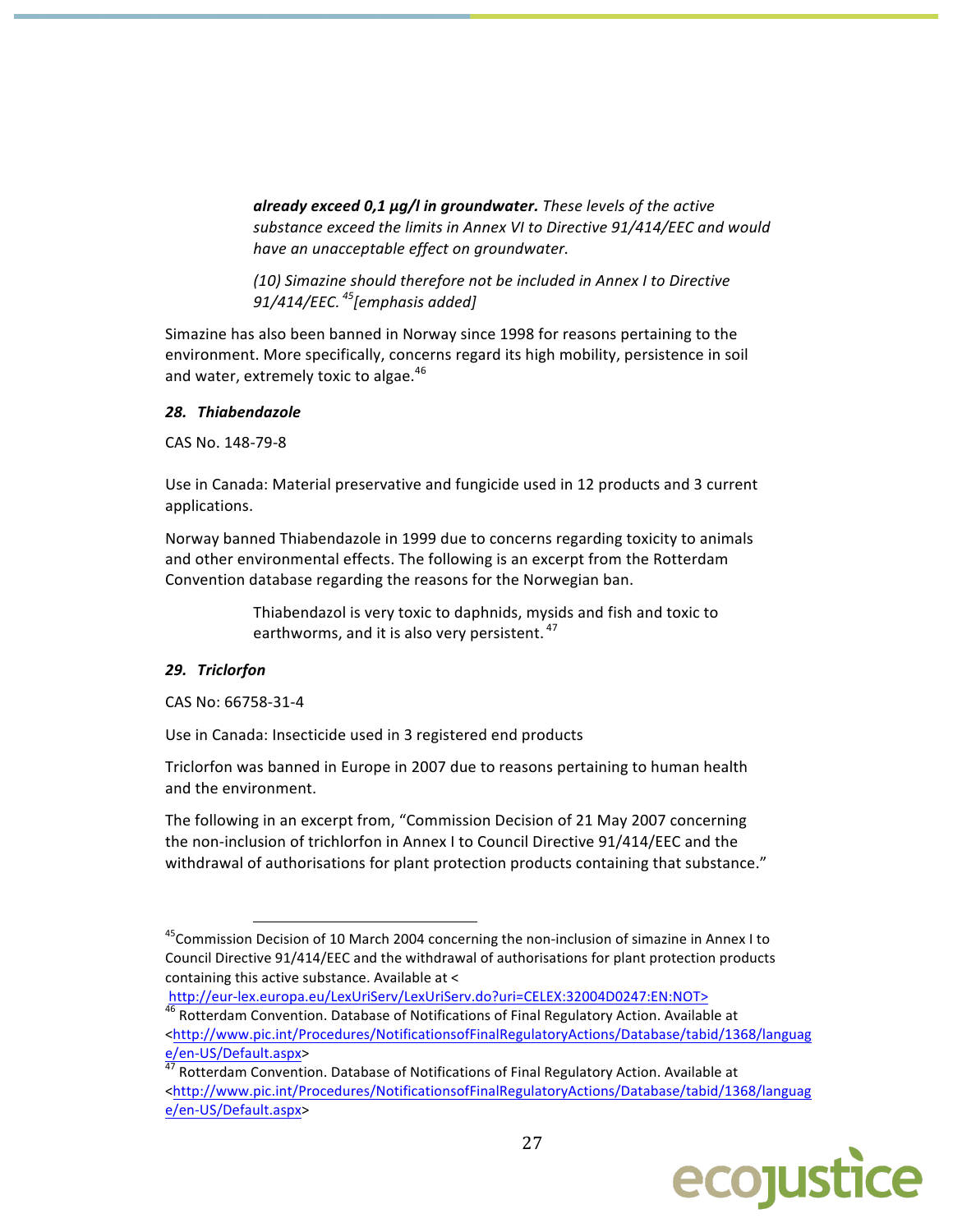already exceed 0,1 µg/l in groundwater. These levels of the active substance exceed the limits in Annex VI to Directive 91/414/EEC and would have an unacceptable effect on groundwater.

(10) Simazine should therefore not be included in Annex I to Directive 91/414/EEC.  $^{45}$ [emphasis added]

Simazine has also been banned in Norway since 1998 for reasons pertaining to the environment. More specifically, concerns regard its high mobility, persistence in soil and water, extremely toxic to algae.<sup>46</sup>

#### 28. Thiabendazole

CAS No. 148-79-8

Use in Canada: Material preservative and fungicide used in 12 products and 3 current applications.

Norway banned Thiabendazole in 1999 due to concerns regarding toxicity to animals and other environmental effects. The following is an excerpt from the Rotterdam Convention database regarding the reasons for the Norwegian ban.

> Thiabendazol is very toxic to daphnids, mysids and fish and toxic to earthworms, and it is also very persistent.<sup>47</sup>

## 29. Triclorfon

CAS No: 66758-31-4

Use in Canada: Insecticide used in 3 registered end products

Triclorfon was banned in Europe in 2007 due to reasons pertaining to human health and the environment.

The following in an excerpt from, "Commission Decision of 21 May 2007 concerning the non-inclusion of trichlorfon in Annex I to Council Directive 91/414/EEC and the withdrawal of authorisations for plant protection products containing that substance."

http://eur-lex.europa.eu/LexUriServ/LexUriServ.do?uri=CELEX:32004D0247:EN:NOT>

<sup>47</sup> Rotterdam Convention. Database of Notifications of Final Regulatory Action. Available at <http://www.pic.int/Procedures/NotificationsofFinalRegulatoryActions/Database/tabid/1368/languag e/en-US/Default.aspx>



<sup>&</sup>lt;sup>45</sup> Commission Decision of 10 March 2004 concerning the non-inclusion of simazine in Annex I to Council Directive 91/414/EEC and the withdrawal of authorisations for plant protection products containing this active substance. Available at <

<sup>&</sup>lt;sup>46</sup> Rotterdam Convention. Database of Notifications of Final Regulatory Action. Available at <http://www.pic.int/Procedures/NotificationsofFinalRegulatoryActions/Database/tabid/1368/languag e/en-US/Default.aspx>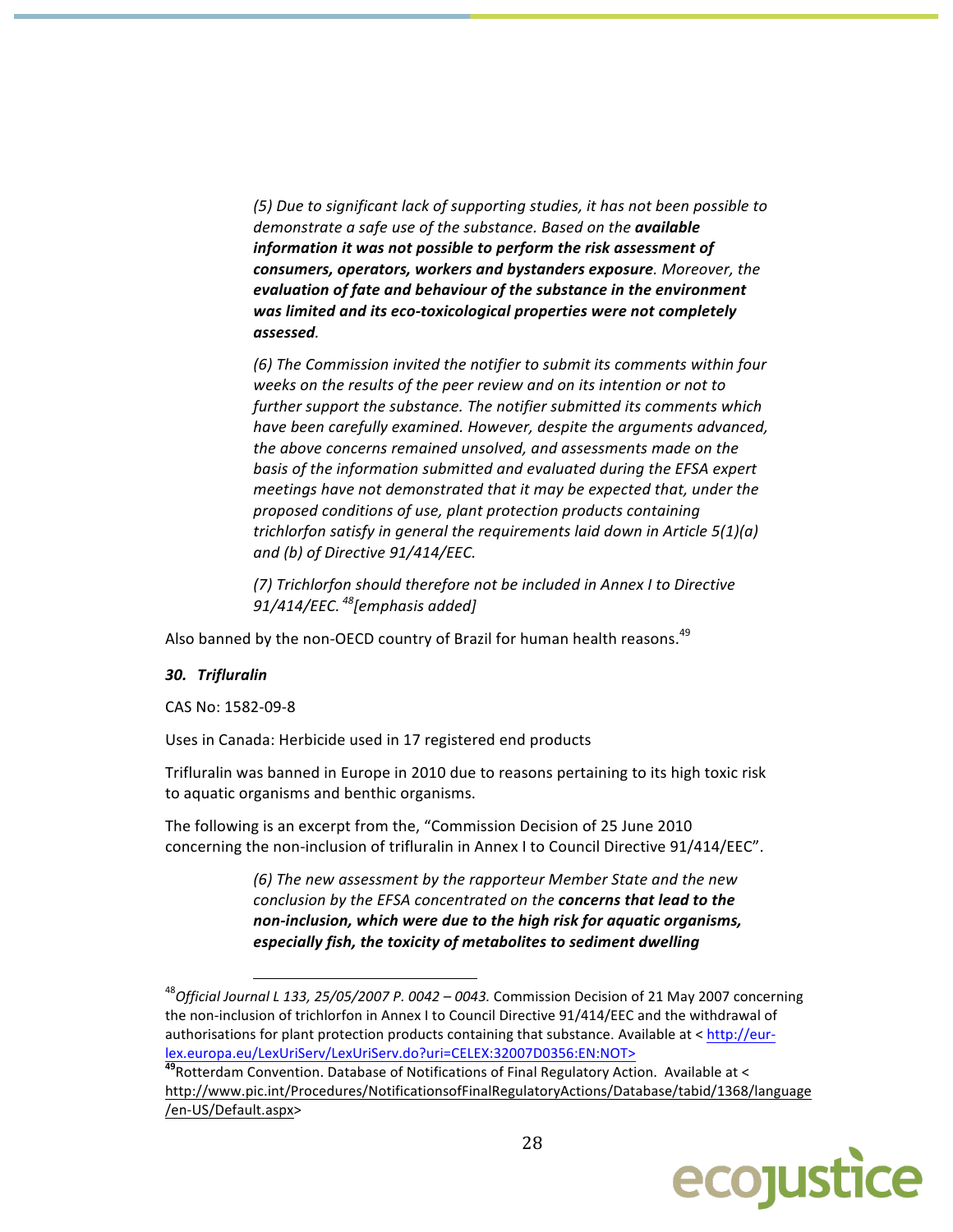(5) Due to significant lack of supporting studies, it has not been possible to demonstrate a safe use of the substance. Based on the available information it was not possible to perform the risk assessment of consumers, operators, workers and bystanders exposure. Moreover, the evaluation of fate and behaviour of the substance in the environment was limited and its eco-toxicological properties were not completely assessed.

(6) The Commission invited the notifier to submit its comments within four weeks on the results of the peer review and on its intention or not to further support the substance. The notifier submitted its comments which have been carefully examined. However, despite the arguments advanced, the above concerns remained unsolved, and assessments made on the basis of the information submitted and evaluated during the EFSA expert meetings have not demonstrated that it may be expected that, under the proposed conditions of use, plant protection products containing trichlorfon satisfy in general the requirements laid down in Article  $5(1)(a)$ and (b) of Directive 91/414/EEC.

(7) Trichlorfon should therefore not be included in Annex I to Directive 91/414/EEC.  $^{48}$ [emphasis added]

Also banned by the non-OECD country of Brazil for human health reasons.<sup>49</sup>

#### 30. Trifluralin

CAS No: 1582-09-8

Uses in Canada: Herbicide used in 17 registered end products

Trifluralin was banned in Europe in 2010 due to reasons pertaining to its high toxic risk to aquatic organisms and benthic organisms.

The following is an excerpt from the, "Commission Decision of 25 June 2010 concerning the non-inclusion of trifluralin in Annex I to Council Directive 91/414/EEC".

> (6) The new assessment by the rapporteur Member State and the new conclusion by the EFSA concentrated on the concerns that lead to the non-inclusion, which were due to the high risk for aquatic organisms, especially fish, the toxicity of metabolites to sediment dwelling

<sup>&</sup>lt;sup>49</sup> Rotterdam Convention. Database of Notifications of Final Regulatory Action. Available at < http://www.pic.int/Procedures/NotificationsofFinalRegulatoryActions/Database/tabid/1368/language /en-US/Default.aspx>



 $^{48}$ Official Journal L 133, 25/05/2007 P. 0042 – 0043. Commission Decision of 21 May 2007 concerning the non-inclusion of trichlorfon in Annex I to Council Directive 91/414/EEC and the withdrawal of authorisations for plant protection products containing that substance. Available at < http://eurlex.europa.eu/LexUriServ/LexUriServ.do?uri=CELEX:32007D0356:EN:NOT>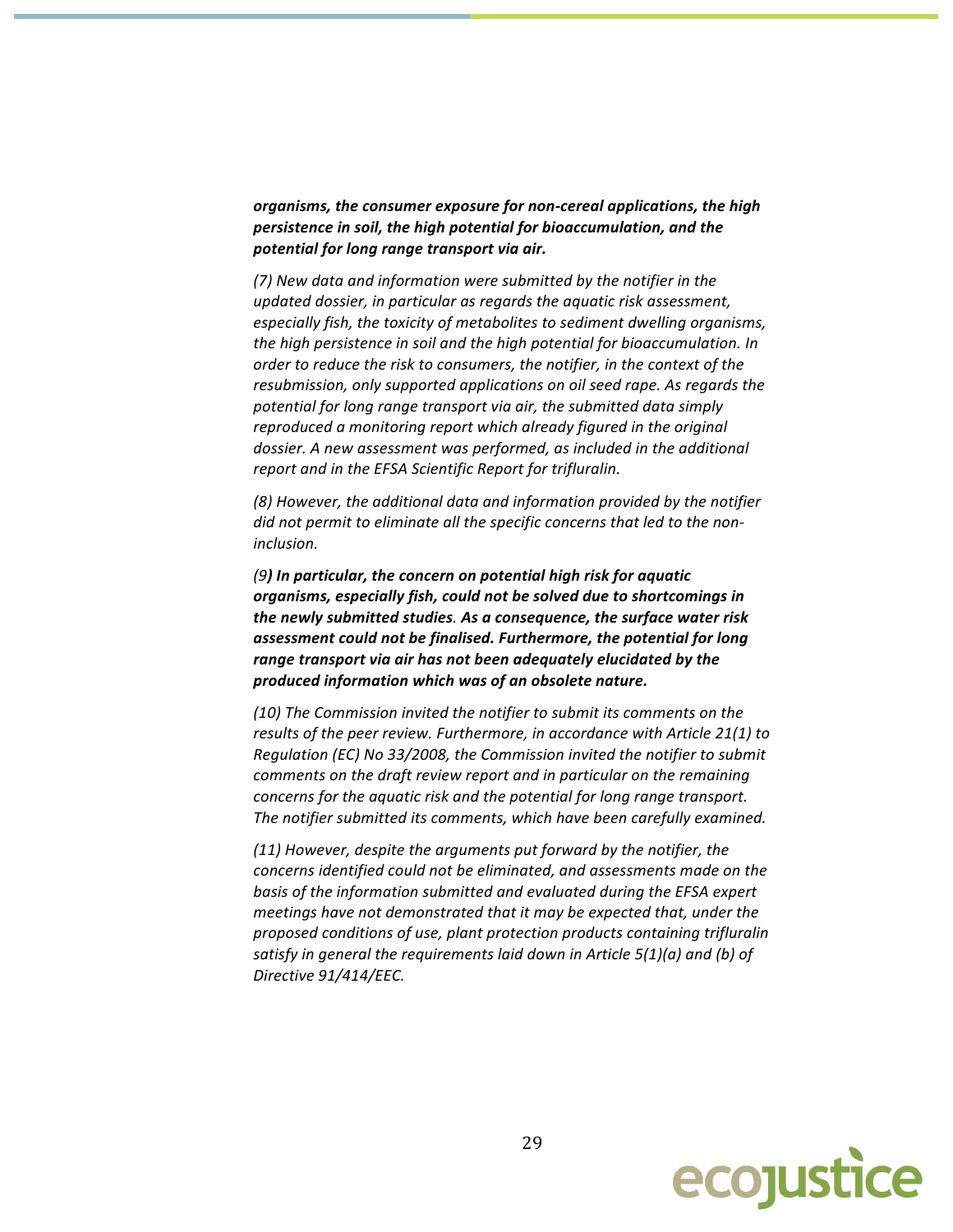organisms, the consumer exposure for non-cereal applications, the high persistence in soil, the high potential for bioaccumulation, and the potential for long range transport via air.

(7) New data and information were submitted by the notifier in the updated dossier, in particular as regards the aquatic risk assessment, especially fish, the toxicity of metabolites to sediment dwelling organisms, the high persistence in soil and the high potential for bioaccumulation. In order to reduce the risk to consumers, the notifier, in the context of the resubmission, only supported applications on oil seed rape. As regards the potential for long range transport via air, the submitted data simply reproduced a monitoring report which already figured in the original dossier. A new assessment was performed, as included in the additional report and in the EFSA Scientific Report for trifluralin.

(8) However, the additional data and information provided by the notifier did not permit to eliminate all the specific concerns that led to the noninclusion.

(9) In particular, the concern on potential high risk for aquatic organisms, especially fish, could not be solved due to shortcomings in the newly submitted studies. As a consequence, the surface water risk assessment could not be finalised. Furthermore, the potential for long range transport via air has not been adequately elucidated by the produced information which was of an obsolete nature.

(10) The Commission invited the notifier to submit its comments on the results of the peer review. Furthermore, in accordance with Article 21(1) to Regulation (EC) No 33/2008, the Commission invited the notifier to submit comments on the draft review report and in particular on the remaining concerns for the aquatic risk and the potential for long range transport. The notifier submitted its comments, which have been carefully examined.

(11) However, despite the arguments put forward by the notifier, the concerns identified could not be eliminated, and assessments made on the basis of the information submitted and evaluated during the EFSA expert meetings have not demonstrated that it may be expected that, under the proposed conditions of use, plant protection products containing trifluralin satisfy in general the requirements laid down in Article  $5(1)(a)$  and (b) of Directive 91/414/EEC.